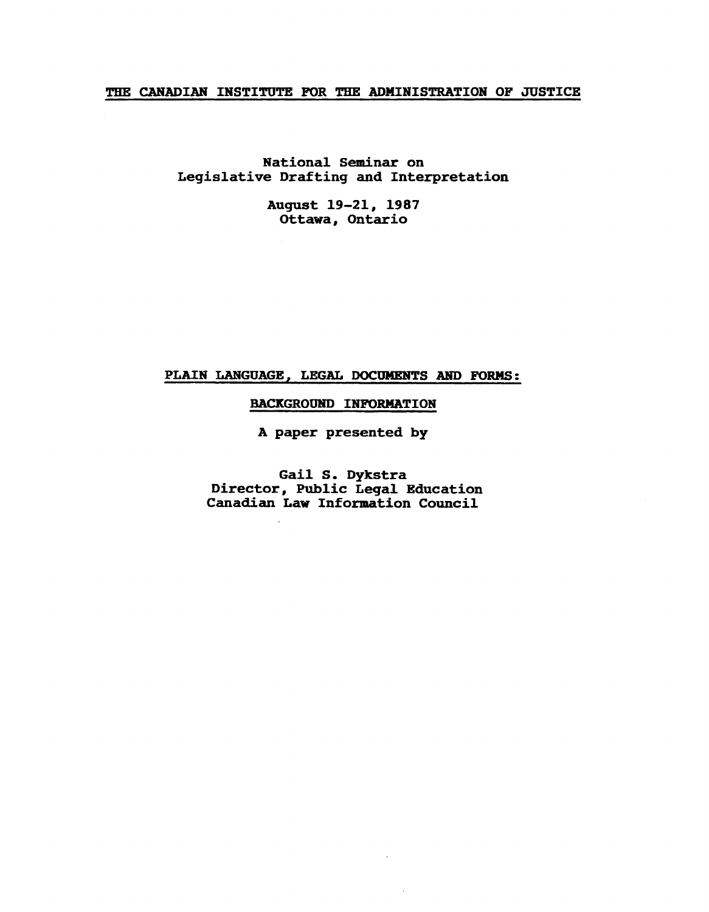# THE CANADIAN INSTITUTE FOR THE ADMINISTRATION OF JUSTICE

National Seminar on Leqislative Draftinq and Interpretation

> August 19-21, 1987 Ottawa, Ontario

# PLAIN LANGUAGE, LEGAL DOCUMENTS AND FORMS:

# BACKGROUND INFORMATION

A paper presented by

Gail S. Dykstra Director, Public Leqal Education Canadian Law Information Council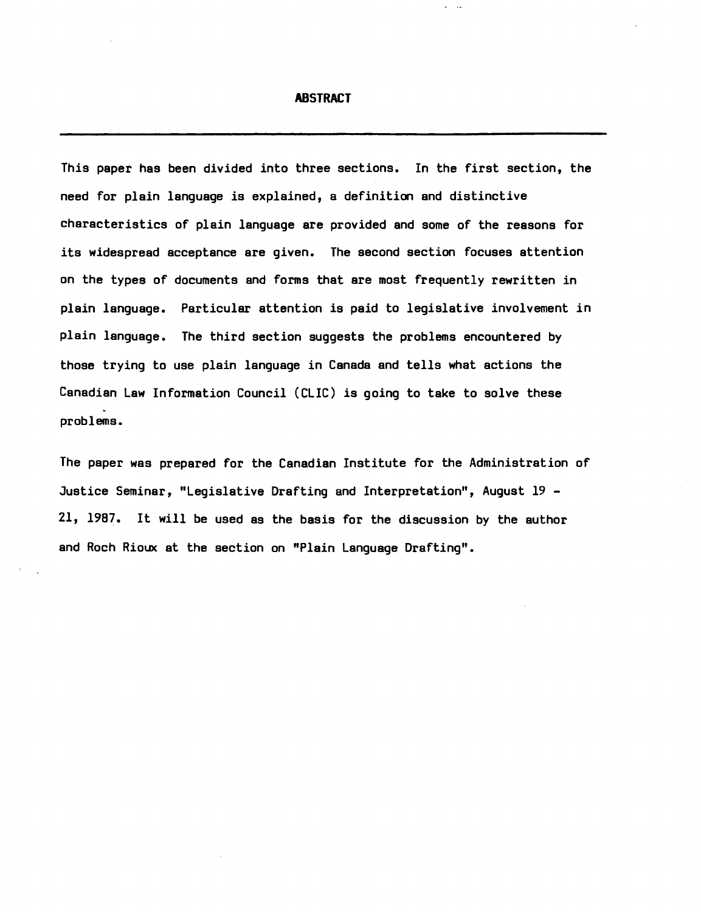#### **ABSTRACT**

 $\mathbf{r} = \mathbf{r}$ 

This paper has been divided into three sections. In the first section, the need for plain language is explained, a definition and distinctive characteristics of plain language are provided and some of the reasons for its widespread acceptance are given. The second section focuses attention on the types of documents and forms that are most frequently rewritten in plain language. Particular attention is paid to legislative involvement in plain language. The third section suggests the problems encountered by those trying to use plain language in Canada and tells what actions the Canadian Law Information Council (CLIC) is going to take to solve these problems.

The paper was prepared for the Canadian Institute for the Administration of Justice Seminar, "Legislative Drafting and Interpretation", August 19 *21, 1987.* It will be used as the basis for the discussion by the author and Roch Rioux at the section on "Plain Language Drafting".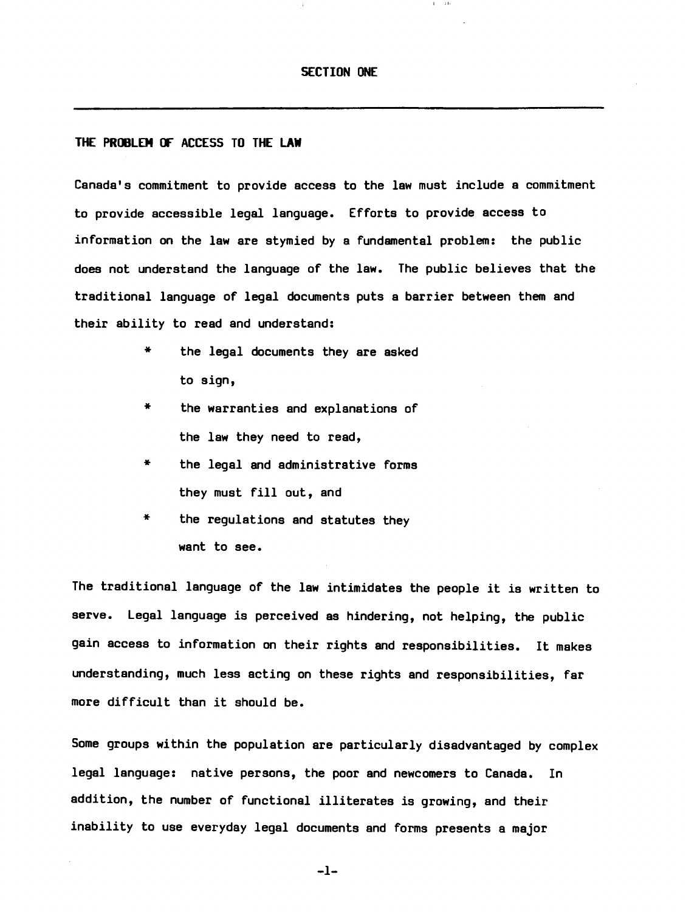# SECTION ONE

# THE PROBLEM OF ACCESS TO THE LAW

Canada's commitment to provide access to the law must include a commitment to provide accessible legal language. Efforts to provide access to information on the law are stymied by a fundamental problem: the public does not understand the language of the law. The public believes that the traditional language of legal documents puts a barrier between them and their ability to read and understand:

- \* the legal documents they are asked to sign,
- \* the warranties and explanations of the law they need to read,
- \* the legal and administrative forms they must fill out, and
- \* the regulations and statutes they want to see.

The traditional language of the law intimidates the people it is written to serve. Legal language is perceived as hindering, not helping, the public gain access to information on their rights and responsibilities. It makes understanding, much less acting on these rights and responsibilities, far more difficult than it should be.

Some groups within the population are particularly disadvantaged by complex legal language: native persons, the poor and newcomers to Canada. In addition, the number of functional illiterates is growing, and their inability to use everyday legal documents and forms presents a major

 $-1-$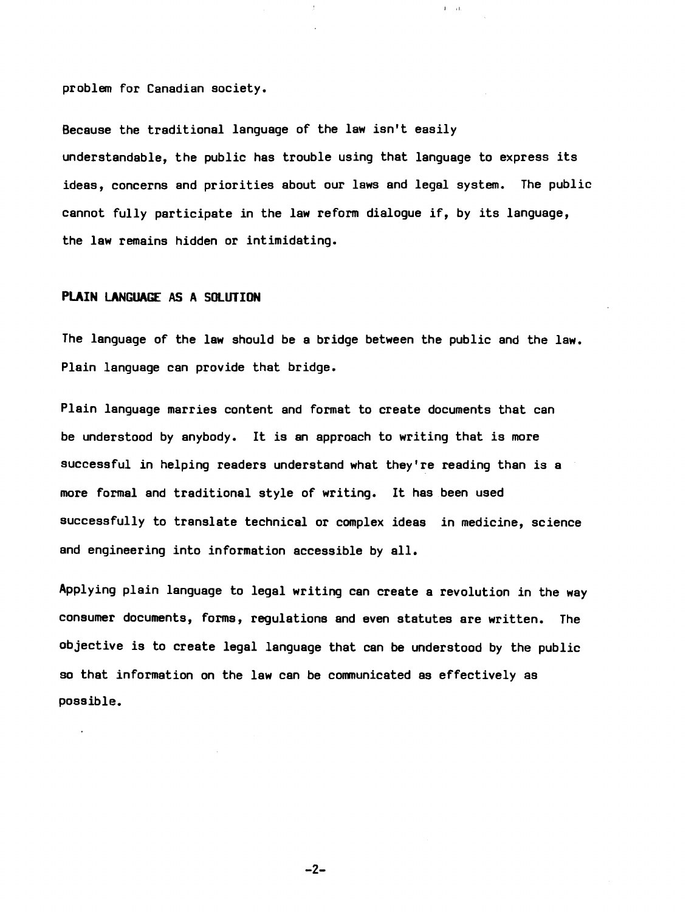problem for Canadian society.

Because the traditional language of the law isn't easily understandable, the public has trouble using that language to express its ideas, concerns and priorities about our laws and legal system. The public cannot fully participate in the law reform dialogue if, by its language, the law remains hidden or intimidating.

 $\Gamma = 110$ 

# **PlAIN LANGUAGE AS A SOlUTION**

The language of the law should be a bridge between the public and the law. Plain language can provide that bridge.

Plain language marries content and format to create documents that can be understood by anybody. It is an approach to writing that is more successful in helping readers understand what they're reading than is a more formal and traditional style of writing. It has been used successfully to translate technical or complex ideas in medicine, science and engineering into information accessible by all.

Applying plain language to legal writing can create a revolution in the way consumer documents, forms, regulations and even statutes are written. The objective is to create legal language that can be understood by the public so that information on the law can be communicated as effectively as possible.

 $-2-$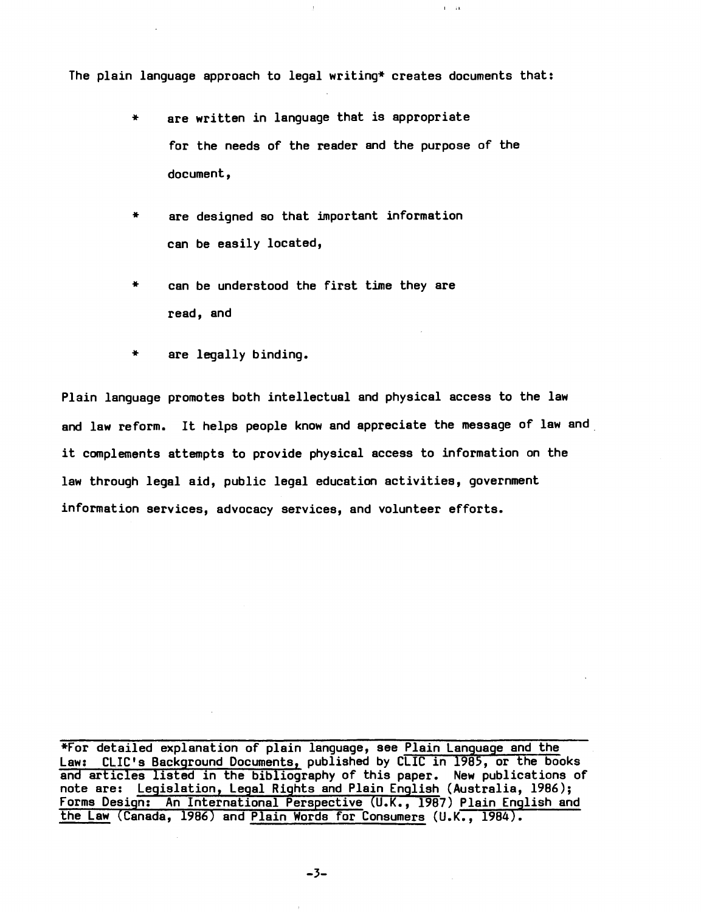The plain language approach to legal writing\* creates documents that:

 $\bar{J}$ 

 $1.1-1.1$ 

- \* are written in language that is appropriate for the needs of the reader and the purpose of the document,
- \* are designed so that important information can be easily located,
- can be understood the first time they are read, and
- are legally binding. \*

Plain language promotes both intellectual and physical access to the law and law reform. It helps people know and appreciate the message of law and it complements attempts to provide physical access to information on the law through legal aid, public legal education activities, government information services, advocacy services, and volunteer efforts.

\*For detailed explanation of plain language, see Plain Language and the Law: CLIC's Background Documents, published by CLIC in 1985, or the books and articles listed in the bibliography of this paper. New publications of note are: Legislation, Legal Rights and Plain English (Australia, 1986);<br>Forms Design: An International Perspective (U.K., 1987) Plain English and the Law (Canada, 1986) and Plain Words for Consumers (U.K., 1984).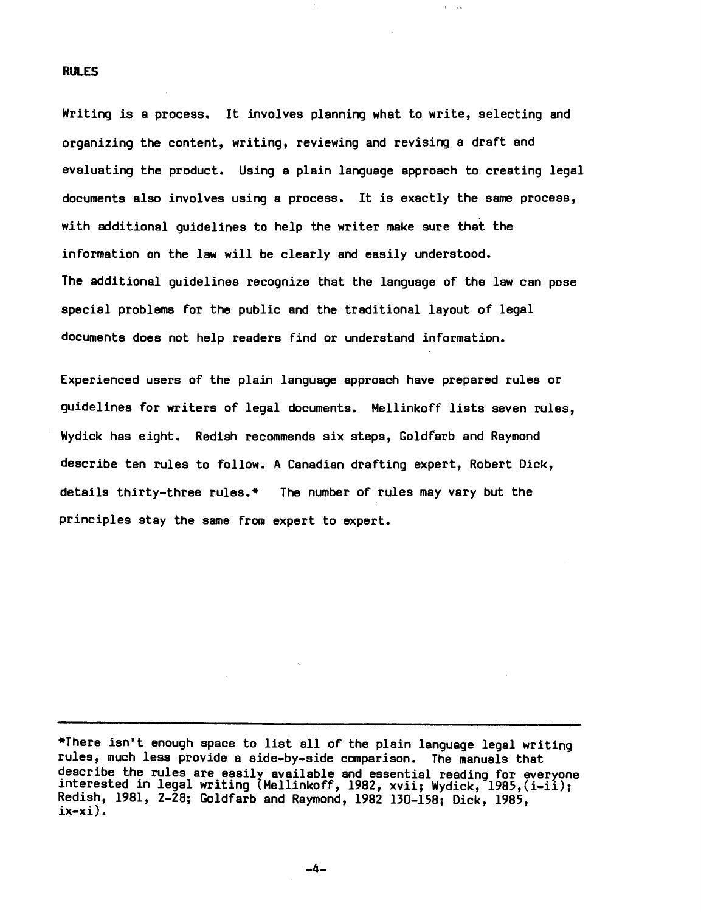#### RUlES

Writing is a process. It involves planning what to write, selecting and organizing the content, writing, reviewing and revising a draft and evaluating the product. Using a plain language approach to creating legal documents also involves using a process. It is exactly the same process, with additional guidelines to help the writer make sure that the information on the law will be clearly and easily understood. The additional guidelines recognize that the language of the law can pose special problems for the public and the traditional layout of legal documents does not help readers find or understand information.

 $\mathbf{r} = \mathbf{r} \cdot \mathbf{r}$ 

Experienced users of the plain language approach have prepared rules or guidelines for writers of legal documents. Mellinkoff lists seven rules, Wydick has eight. Redish recommends six steps, Goldfarb and Raymond describe ten rules to follow. A Canadian drafting expert, Robert Dick, details thirty-three rules.\* The number of rules may vary but the principles stay the same from expert to expert.

\*There isn't enough space to list all of the plain language legal writing rules, much less provide a side-by-side comparison. The manuals that describe the rules are easily available and essential reading for everyone interested in legal writing lMellinkoff, 1982, xvii; Wydick, 1985,(i-ii); Redish, 1981, 2-28; Goldfarb and Raymond, 1982 130-158; Dick, 1985,  $ix-xi$ ).

 $-4-$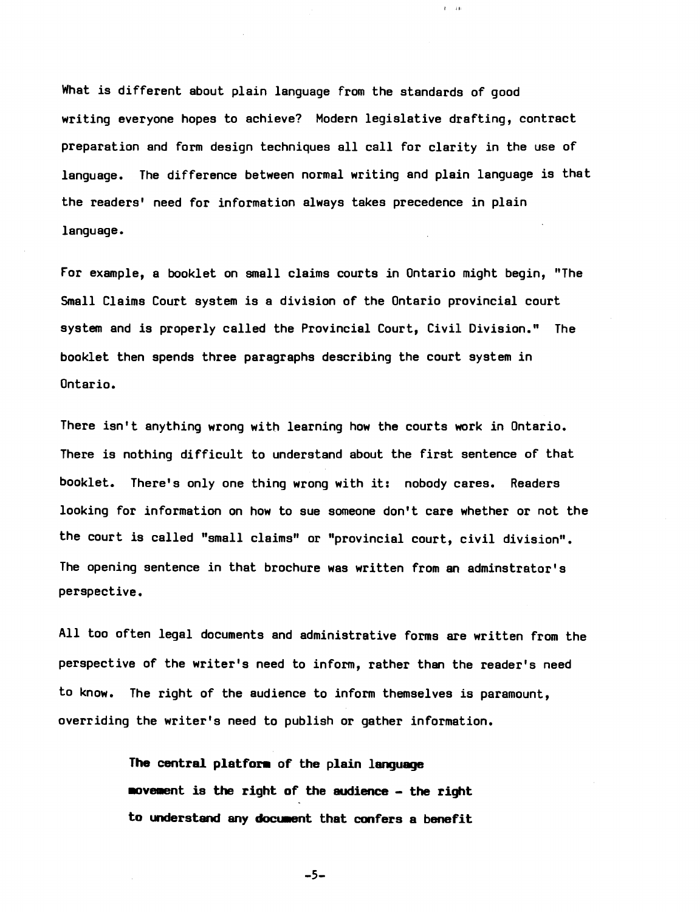What is different about plain language from the standards of good writing everyone hopes to achieve? Modern legislative drafting, contract preparation and form design techniques all call for clarity in the use of language. The difference between normal writing and plain language is that the readers' need for information always takes precedence in plain language.

 $I = II$ 

For example, a booklet on small claims courts in Ontario might begin, "The Small Claims Court system is a division of the Ontario provincial court system and is properly called the Provincial Court, Civil Division." The booklet then spends three paragraphs describing the court system in Ontario.

There isn't anything wrong with learning how the courts work in Ontario. There is nothing difficult to understand about the first sentence of that booklet. There's only one thing wrong with it: nobody cares. Readers looking for information on how to sue someone don't care whether or not the the court is called "small claims" or "provincial court, civil division". The opening sentence in that brochure was written from an adminstrator's perspective.

All too often legal documents and administrative forms are written from the perspective of the writer's need to inform, rather than the reader's need to know. The right of the audience to inform themselves is paramount, overriding the writer's need to publish or gather information.

> The central platform of the plain language movement is the right of the audience - the right to understand any document that confers a benefit

> > $-5-$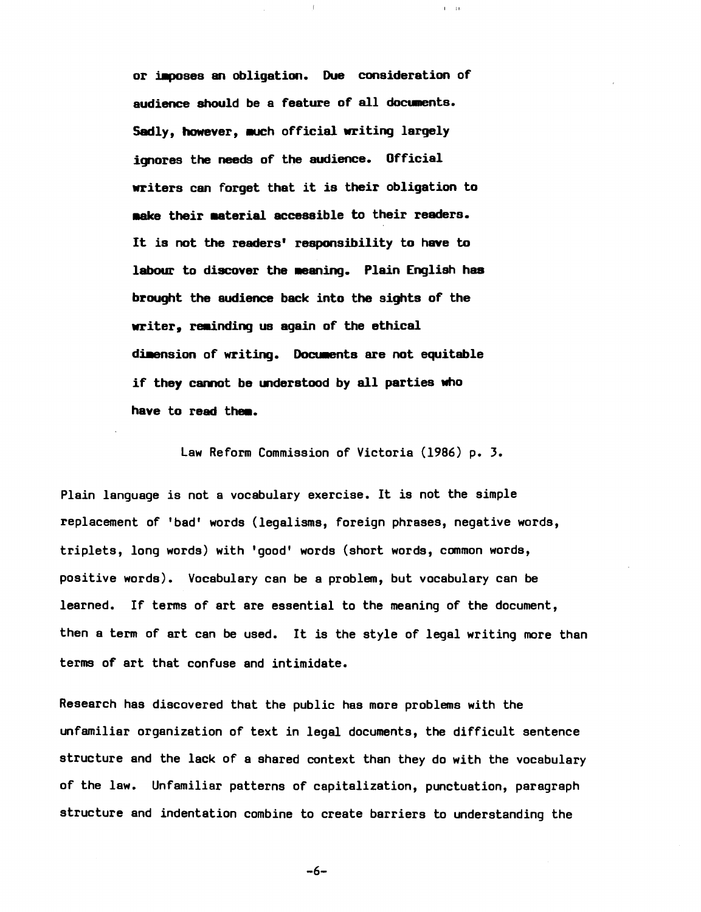or imposes an obligation. Due consideration of audience should be a feature of all documents. Sadly, however, much official writing largely ignores the needs of the audience. Official writers can forget that it is their obligation to aake their asteria! accessible to their readers. It is not the readers' responsibility to have to labour to discover the meaning. Plain English has brought the audience back into the sights of the writer. reminding us again of the ethical dimension of writing. Documents are not equitable if they cannot be understood by all parties who have to read them.

 $\mathcal{F}$ 

 $\Gamma=2.6$ 

law Reform Commission of Victoria (1986) p. 3.

Plain language is not a vocabulary exercise. It is not the simple replacement of 'bad' words (legalisms, foreign phrases, negative words, triplets, long words) with 'good' words (short words, common words, positive words). Vocabulary can be a problem, but vocabulary can be learned. If terms of art are essential to the meaning of the document, then a term of art can be used. It is the style of legal writing more than terms of art that confuse and intimidate.

Research has discovered that the public has more problems with the unfamiliar organization of text in legal documents, the difficult sentence structure and the lack of a shared context than they do with the vocabulary of the law. Unfamiliar patterns of capitalization, punctuation, paragraph structure and indentation combine to create barriers to understanding the

-6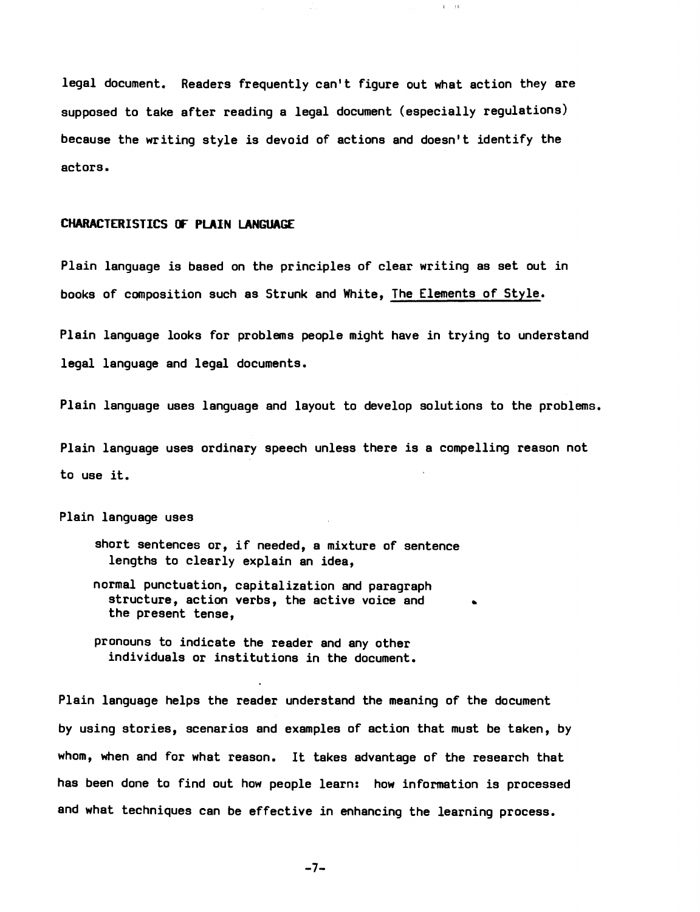legal document. Readers frequently can't figure out what action they are supposed to take after reading a legal document (especially regulations) because the writing style is devoid of actions and doesn't identify the actors.

Δ.

! Iii

# CHARACTERISTICS or PLAIN LANGUAGE

Plain language is based on the principles of clear writing as set out in books of composition such as Strunk and White, The Elements of Style.

Plain language looks for problems people might have in trying to understand legal language and legal documents.

Plain language uses language and layout to develop solutions to the problems.

Plain language uses ordinary speech unless there is a compelling reason not to use it.

Plain language uses

- short sentences or, if needed, a mixture of sentence lengths to clearly explain an idea,
- normal punctuation, capitalization and paragraph structure, action verbs, the active voice and the present tense,
- pronouns to indicate the reader and any other individuals or institutions in the document.

Plain language helps the reader understand the meaning of the document by using stories, scenarios and examples of action that must be taken, by whom, when and for what reason. It takes advantage of the research that has been done to find out how people learn: how information is processed and what techniques can be effective in enhancing the learning process.

 $-7-$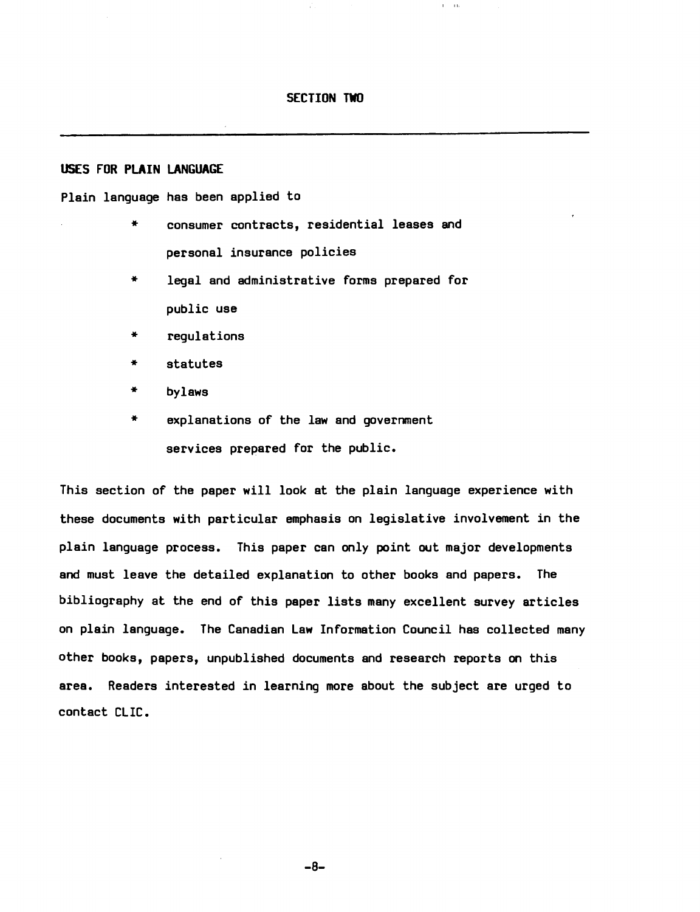#### SECTION TWO

 $\Gamma = 140$ 

# USES FOR PLAIN LANGUAGE

#### Plain language has been applied to

- \* consumer contracts, residential leases and personal insurance policies
- \* legal and administrative forms prepared for public use
- regulations
- statutes \*
- bylaws
- \* explanations of the law and government services prepared for the public.

This section of the paper will look at the plain language experience with these documents with particular emphasis on legislative involvement *in* the plain language process. This paper can only point out major developments and must leave the detailed explanation to other books and papers. The bibliography at the end of this paper lists many excellent survey articles on plain language. The Canadian law Information Council has collected many other books, papers, unpublished documents and research reports on this area. Readers interested *in* learning more about the subject are urged to contact ClIC.

-8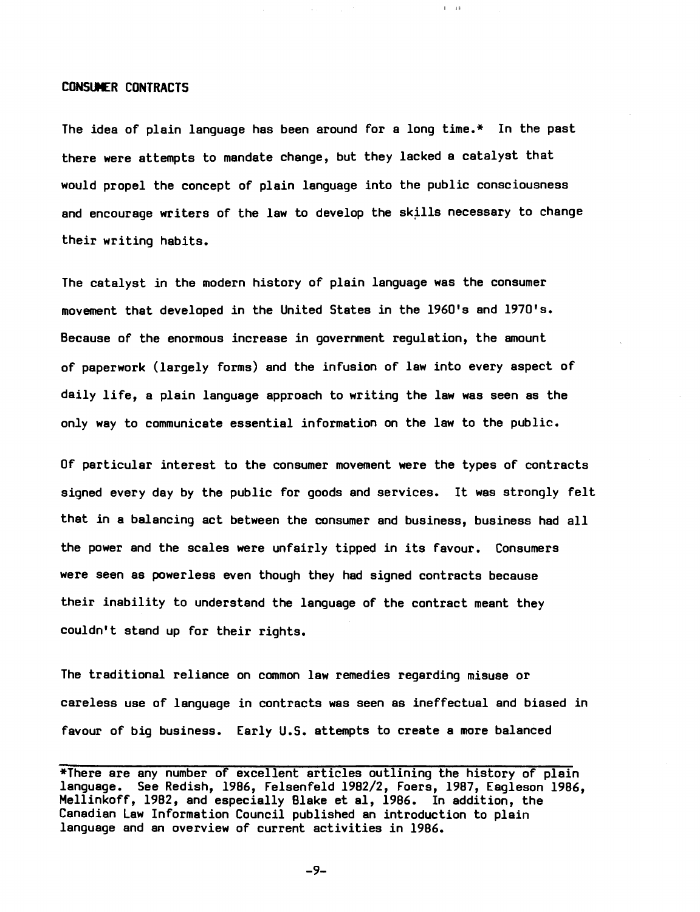# CONSUMER CONTRACTS

The idea of plain language has been around for a long time.\* In the past there were attempts to mandate change, but they lacked a catalyst that would propel the concept of plain language into the public consciousness and encourage writers of the law to develop the skills necessary to change their writing habits.

I IIi

The catalyst in the modern history of plain language was the consumer movement that developed in the United States in the 1960's and 1970's. Because of the enormous increase in government regulation, the amount of paperwork (largely forms) and the infusion of law into every aspect of daily life, a plain language approach to writing the law was seen as the only way to communicate essential information on the law to the public.

Of particular interest to the consumer movement were the types of contracts signed every day by the public for goods and services. It was strongly felt that in a balancing act between the consumer and business, business had all the power and the scales were unfairly tipped in its favour. Consumers were seen as powerless even though they had signed contracts because their inability to understand the language of the contract meant they couldn't stand up for their rights.

The traditional reliance on common law remedies regarding misuse or careless use of language in contracts was seen as ineffectual and biased in favour of big business. Early U.S. attempts to create a more balanced

 $-9-$ 

<sup>\*</sup>There are any number of excellent articles outlining the history of plain language. See Redish, 1986, Felsenfeld 1982/2, Foers, 1987, Eagleson 1986, Mellinkoff, 1982, and especially Blake et aI, 1986. In addition, the Canadian Law Information Council published an introduction to plain language and an overview of current activities in 1986.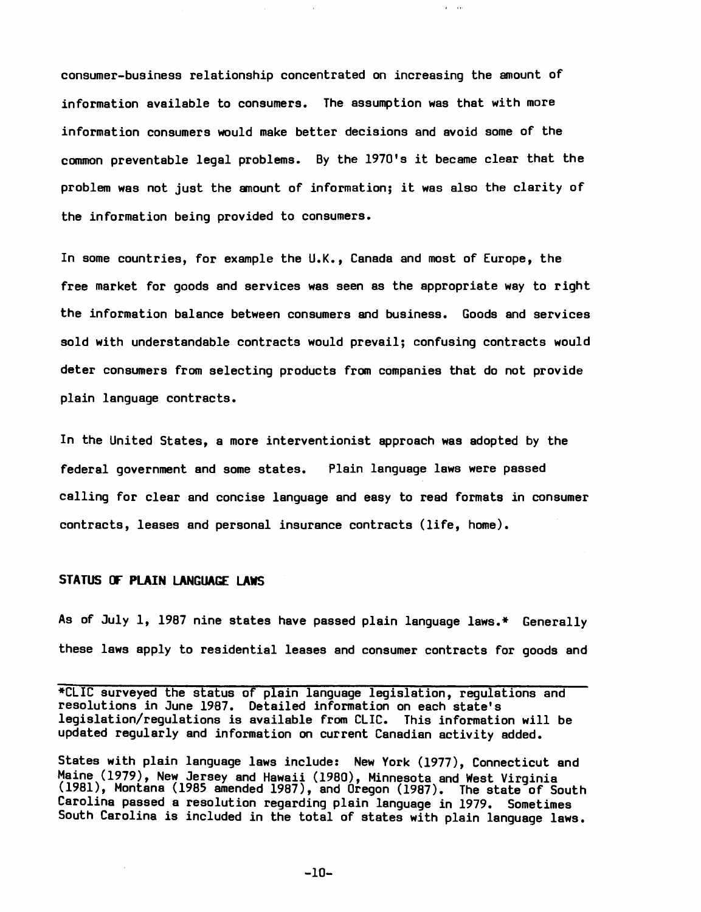consumer-business relationship concentrated on increasing the amount of information available to consumers. The assumption was that with more information consumers would make better decisions and avoid some of the common preventable legal problems. By the 1970's it became clear that the problem was not just the amount of information; it was also the clarity of the information being provided to consumers.

 $\mathbf{r} = -\mathbf{r}$  is

In some countries, for example the U.K., Canada and most of Europe, the free market for goods and services was seen as the appropriate way to right the information balance between conaumers and business. Goods and services sold with understandable contracts would prevail; confusing contracts would deter consumers from selecting products from companies that do not provide plain language contracts.

In the United States, a more interventionist approach was adopted by the federal government and some states. Plain language laws were passed calling for clear and concise language and easy to read formats in consumer contracts, leases and personal insurance contracts (life, home).

# **STATUS (F PLAIN LANGUAGE LAWS**

As of July 1, 1987 nine states have passed plain language laws.\* Generally these laws apply to residential leases and consumer contracts for goods and

\*CLIC surveyed the status of plain language legislation, regulations and resolutions in June 1987. Detailed information on each state's legislation/regulations is available from CLIC. This information will be updated regularly and information on current Canadian activity added.

States with plain language lawa include: New York (1977), Connecticut and Maine (1979), New Jersey and Hawaii (1980), Minnesota and West Virginia (1981), Montana (1985 amended 1987), and Oregon (1987). The state of South Carolina passed a resolution regarding plain language *in* 1979. Sometimes South Carolina is included in the total of states with plain language laws.

 $-10-$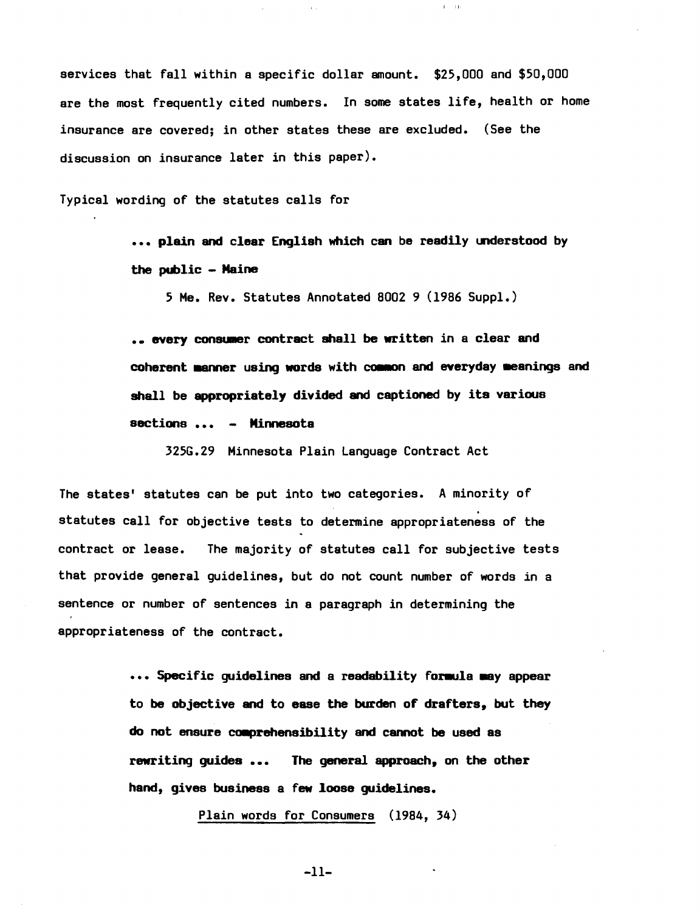services that fall within a specific dollar amount. \$25,000 and \$50,000 are the most frequently cited numbers. In some states life, health or home insurance are covered; in other states these are excluded. (See the discussion on insurance later in this paper).

 $\tilde{L} = 110$ 

Typical wording of the statutes calls for

... plain and clear English which can be readily understood by the public - Maine

5 Me. Rev. Statutes Annotated 8002 9 (1986 Suppl.)

.. every consumer contract shall be written in a clear and coherent manner using words with common and everyday meanings and shall be appropriately divided and captioned by its various sections ... - Minnesota

325G.29 Minnesota Plain language Contract Act

The states' statutes can be put into two categories. A minority of . statutes call for objective tests to determine appropriateness of the contract or lease. The majority of statutes call for subjective tests that provide general guidelines, but do not count number of words in a sentence or number of sentences in a paragraph in determining the appropriateness of the contract.

> ••• Specific quidelines and a readability formula way appear to be objective and to ease the burden of drafters, but they do not ensure comprehensibility and cannot be used as rewriting guides ... The general approach, on the other hand, gives business a few loose guidelines.

> > Plain words for Consumers (1984, 34)

-11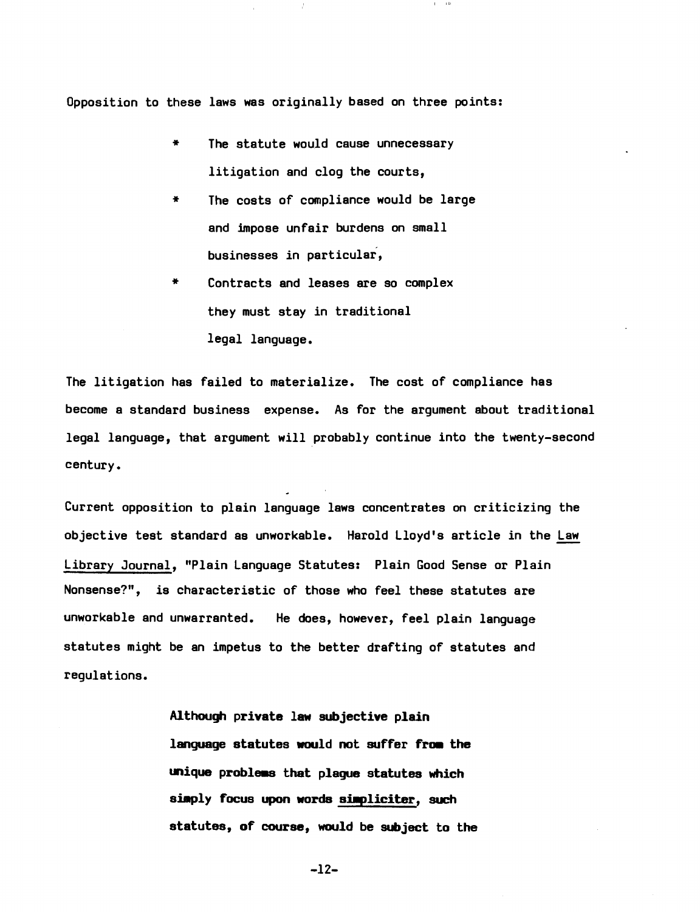Opposition to these laws was originally based on three points:

- \* The statute would cause unnecessary litigation and clog the courts,
- \* The costs of compliance would be large and impose unfair burdens on small businesses *in* particular,
- \* Contracts and leases are so complex they must stay *in* traditional legal language.

The litigation has failed to materialize. The cost of compliance has become a standard business expense. As for the argument about traditional legal language, that argument will probably continue into the twenty-second century.

Current opposition to plain language laws concentrates on criticizing the objective test standard as unworkable. Harold Lloyd's article in the Law Library Journal, "Plain Language Statutes: Plain Good Sense or Plain Nonsense?", is characteristic of those who feel these statutes are unworkable and unwarranted. He does, however, feel plain language statutes might be an impetus to the better drafting of statutes and regulations.

> Although private law subjective plain language statutes would not suffer from the unique problems that plaque statutes which simply focus upon words simpliciter, such statutes, of course, would be subject to the

> > $-12-$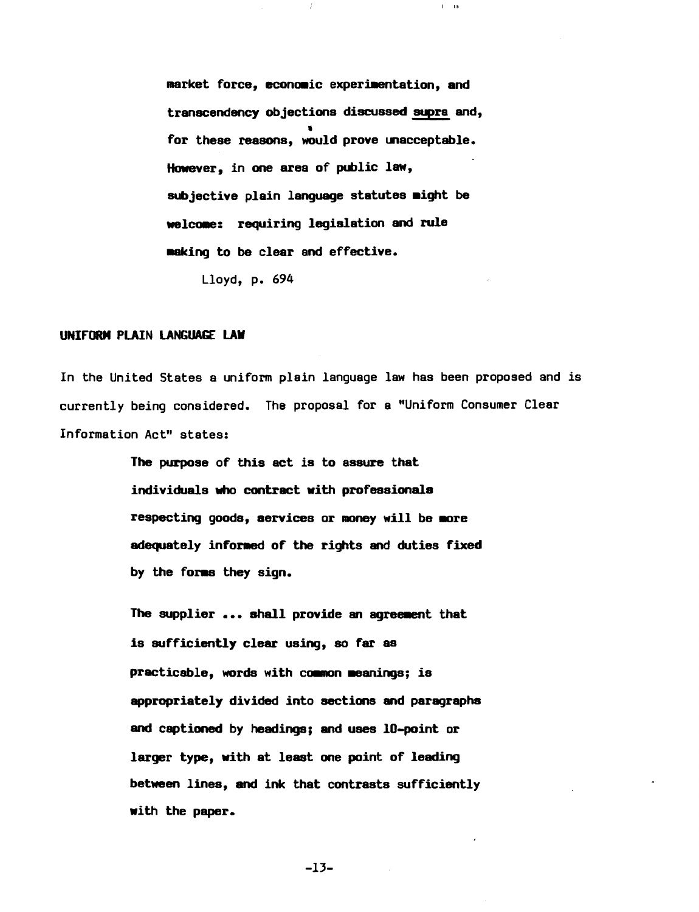market force, economic experimentation, and transcendency objections discussed supra and, • for these reasons, would prove unacceptable. However, in one area of public law, subjective plain language statutes might be welcome: requiring legislation and rule making to be clear and effective.

 $\bar{I} = 10$ 

Lloyd, p. 694

#### UNIFORM PLAIN LANGUAGE LAW

In the United States a uniform plain language law has been proposed and is currently being considered. The proposal for a "Uniform Consumer Clear Information Act" states:

> The purpose of this act is to assure that individuals who contract with professionals respecting goods, services or money will be more adequately infomed of the rights and duties fixed by the forms they sign.

> The supplier ... shall provide an agreement that is sufficiently clear using, so far as practicable, words with common meanings; is appropriately divided into sections and paragraphs and captioned by headings; and uses IO-point or larger type, with at least one point of leading between lines, and ink that contrasts sufficiently with the paper.

> > $-13-$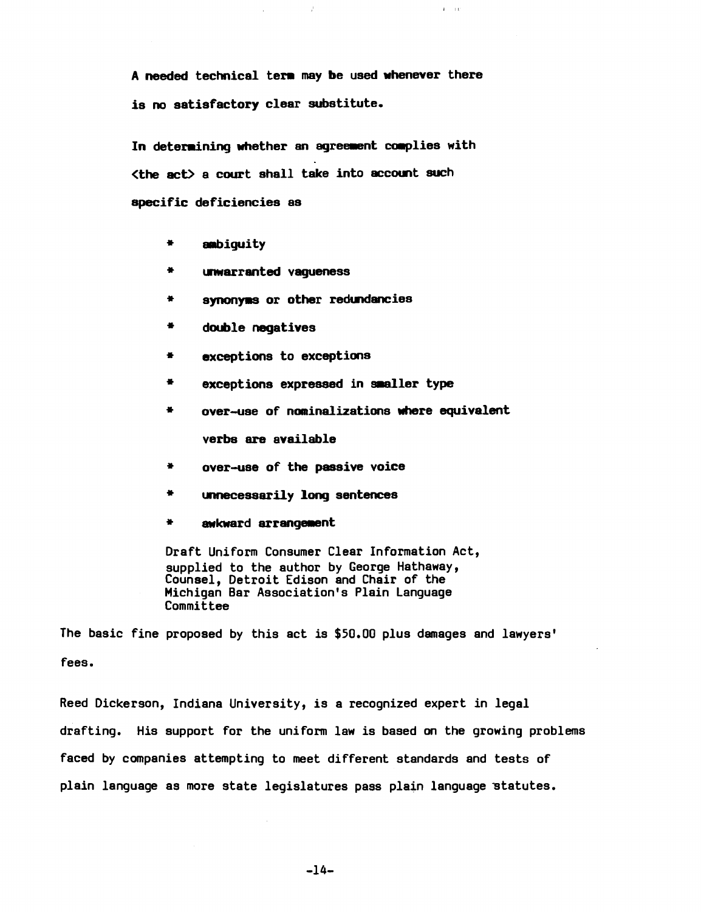A needed technical term may be used whenever there is no satisfactory clear substitute.

 $\hat{f}$ 

 $\Gamma = 10^{\circ}$ 

In determining whether an agreement complies with (the act> a court shall take into account such specific deficiencies as

- \* ambiguity
- \*' W1Warranted vagueness
- \* synonyms or other redundancies
- \* double negatives
- \* exceptions to exceptions
- \* exceptions expressed in smaller type
- \* over-use of nominalizations where equivalent verbs are available
- over-use of the passive voice \*
- \* unnecessarily long sentences
- \* awkward arrangement

Draft Uniform Consumer Clear Information Act, supplied to the author by George Hathaway, Counsel, Detroit Edison and Chair of the Michigan Bar Association's Plain Language **Committee** 

The basic fine proposed by this act is \$50.00 plus damages and lawyers' fees.

Reed Dickerson, Indiana University, is a recognized expert in legal drafting. His support for the uniform law is based on the growing problems faced by companies attempting to meet different standards and tests of plain language as more state legislatures pass plain language statutes.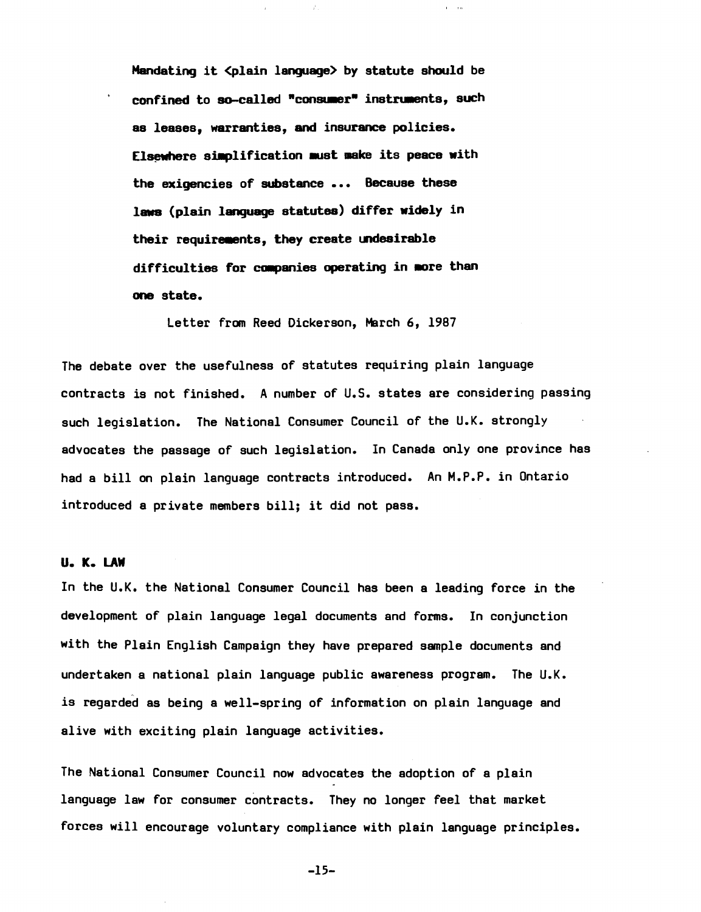Mandating it <plain language> by statute should be confined to so-called "consumer" instruments, such as leases, warranties, and insurance policies. Elsewhere simplification must make its peace with the exigencies of substance ••• Because these laws (plain language statutes) differ widely in their requirements, they create undesirable difficulties for companies operating in more than one state.

 $\mathcal{E}$ 

 $1 - 10$ 

Letter from Reed Dickerson, March 6, 1987

The debate over the usefulness of statutes requiring plain language contracts is not finished. A number of U.S. states are considering passing such legislation. The National Consumer Council of the U.K. strongly advocates the passage of such legislation. In Canada only one province has had a bill on plain language contracts introduced. An M.P.P. in Ontario introduced a private members bill; it did not pass.

# U. K. LAW

In the U.K. the National Consumer Council has been a leading force in the development of plain language legal documents and forms. In conjunction with the Plain English Campaign they have prepared sample documents and undertaken a national plain language public awareness program. The U.K. is regarded as being a well-spring of information on plain language and alive with exciting plain language activities.

The National Consumer Council now advocates the adoption of a plain language *law* for consumer contracts. They no longer feel that market forces will encourage voluntary compliance with plain language principles.

 $-15-$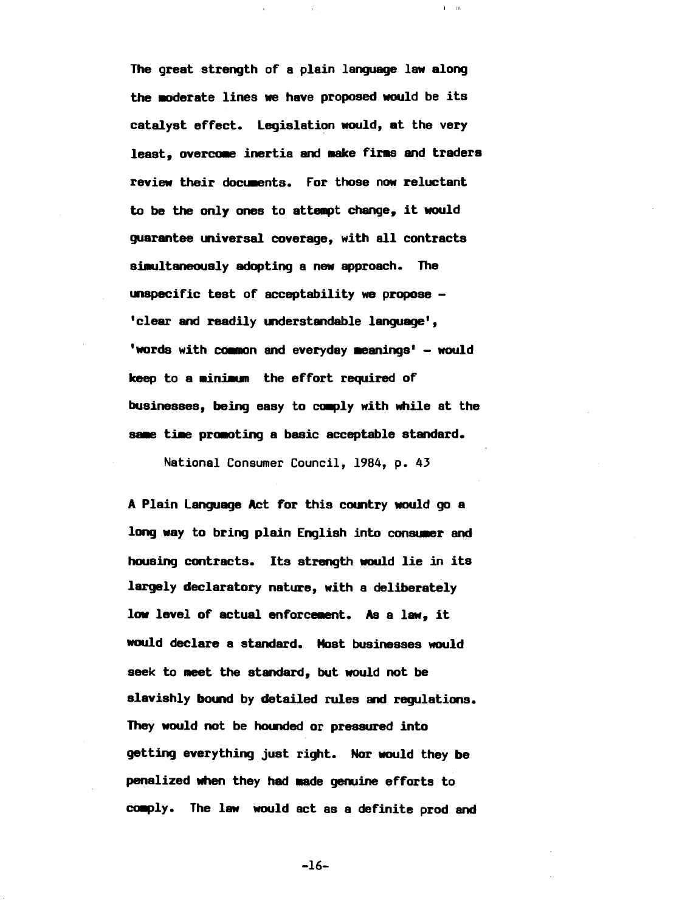The great strength of a plain language law along the moderate lines we have proposed would be its catalyst effect. legislation would, at the very least, overcome inertia and make firms and traders review their documents. For those now reluctant to be the only ones to attempt change, it would guarantee universal coverage, with all contracts simultaneously adopting a new approach. The  $unspecific test of acceptability we propose -$ 'clear and readily understandable language', 'words with common and everyday meanings'  $-$  would keep to a minimum the effort required of businesses, being easy to comply with while at the same time promoting a basic acceptable standard.

 $I = II$ 

National Consumer Council, 1984, p. 43

A Plain language Act for this country would go a long way to bring plain English into consumer and housing contracts. Its strength would lie in its largely declaratory nature, with a deliberately low level of actual enforcement. As a law, it would declare a standard. Most businesses would seek to meet the standard, but would not be slavishly bound by detailed rules and regulations. They would not be hounded or pressured into getting everything just right. Nor would they be penalized when they had made genuine efforts to comply. The law would act as a definite prod and

 $-16-$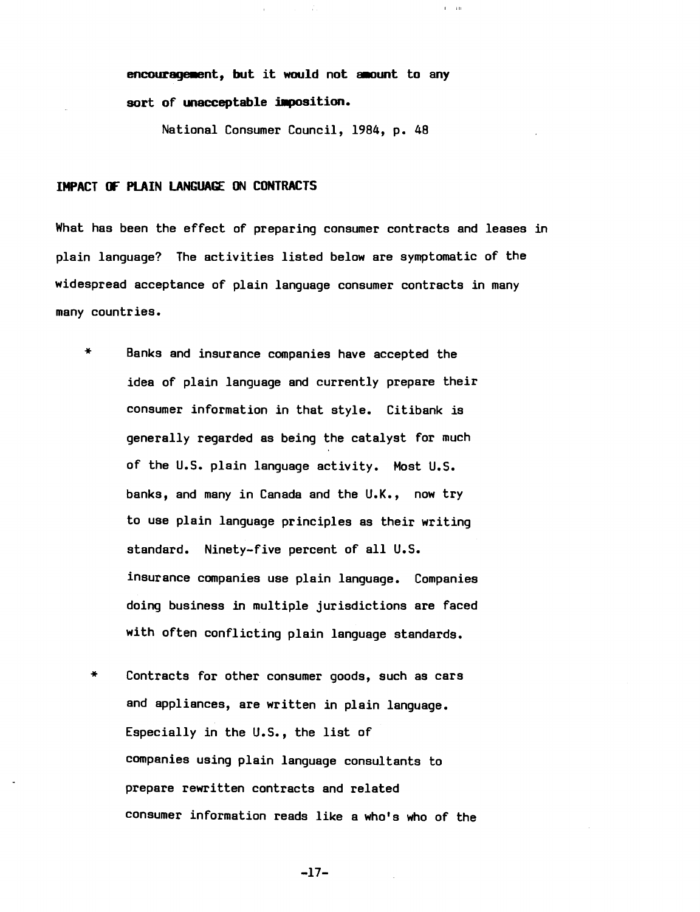encouragement, but it would not amount to any sort of unacceptable imposition.

 $\bar{E} = 3.0$ 

National Consumer Council, 1984, p. 48

# IMPACT (F PLAIN LANGUAGE ON CONTRACTS

What has been the effect of preparing consumer contracts and leases in plain language? The activities listed below are symptomatic of the widespread acceptance of plain language consumer contracts in many many countries.

- .. Banks and insurance companies have accepted the idea of plain language and currently prepare their consumer information in that style. Citibank is generally regarded as being the catalyst for much of the U.S. plain language activity. Most U.S. banks, and many in Canada and the U.K., now try to use plain language principles as their writing standard. Ninety-five percent of all U.S. insurance companies use plain language. Companies doing business in multiple jurisdictions are faced with often conflicting plain language standards.
- \* Contracts for other consumer goods, such as cars and appliances, are written in plain language. Especially in the U.S., the list of companies using plain language consultants to prepare rewritten contracts and related consumer information reads like a who's who of the

 $-17-$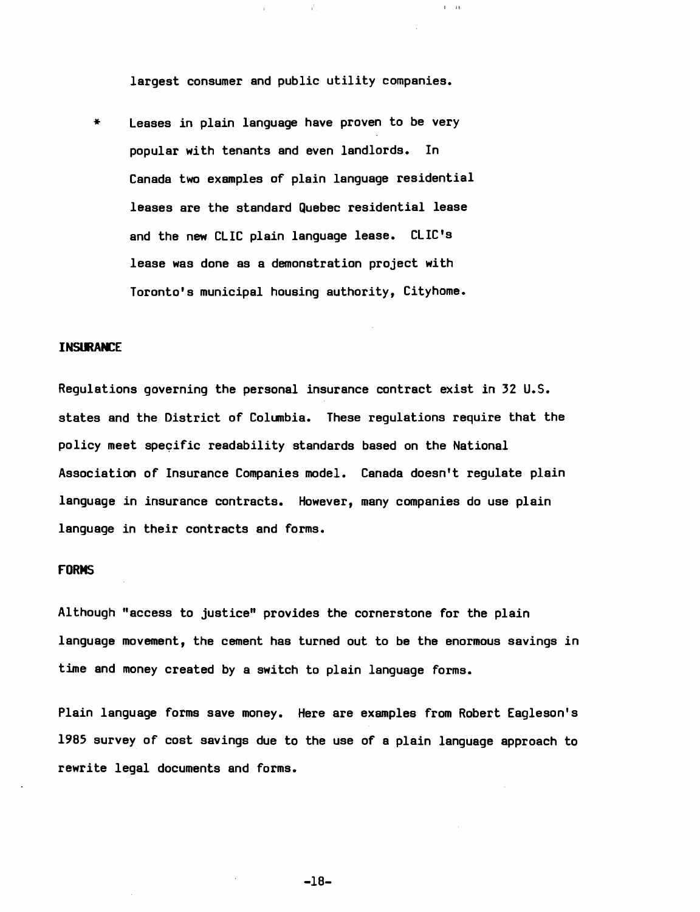largest consumer and public utility companies.

 $1 - 16$ 

 $*$  Leases in plain language have proven to be very popular with tenants and even landlords. In Canada two examples of plain language residential leases are the standard Quebec residential lease and the new CLIC plain language lease. CLIC's lease was done as a demonstration project with Toronto's municipal housing authority, Cityhome.

## **INSlmAtl:E**

Regulations governing the personal insurance contract exist in 32 U.S. states and the District of Columbia. These regulations require that the policy meet specific readability standards based on the National Association of Insurance Companies model. Canada doesn't regulate plain language in insurance contracts. However, many companies do use plain language in their contracts and forms.

## **fORMS**

Although "access to justice" provides the cornerstone for the plain language movement, the cement has turned out to be the enormous savings in time and money created by a switch to plain language forms.

Plain language forms save money. Here are examples from Robert Eagleson's 1985 survey of cost savings due to the use of a plain language approach to rewrite legal documents and forms.

-18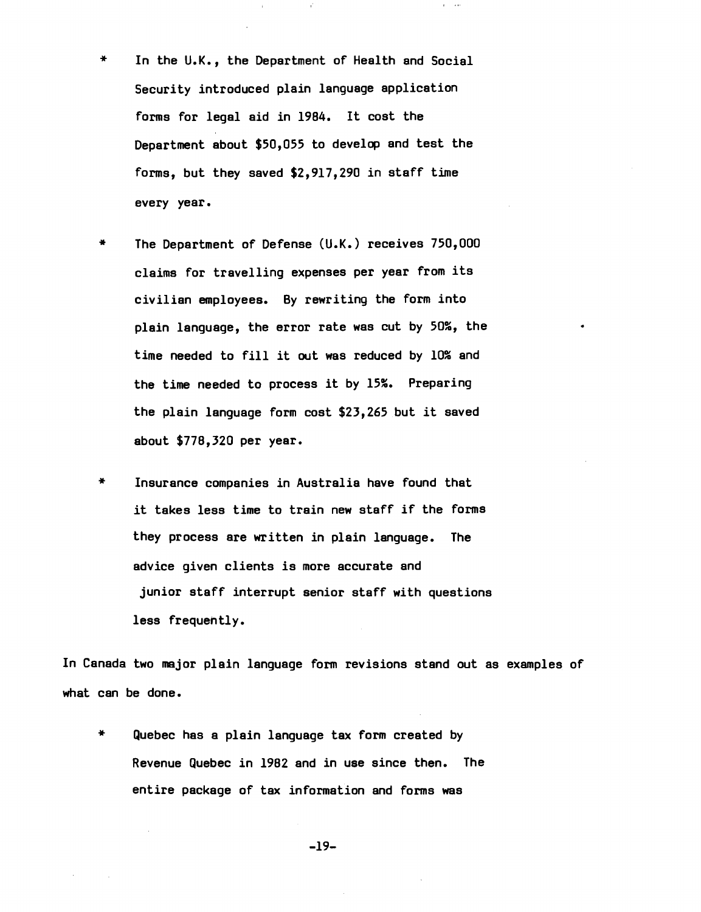In the U.K., the Department of Health and Social Security introduced plain language application forms for legal aid in 1984. It cost the Department about \$50,055 to develop and test the forms, but they saved \$2,917,290 in staff time every year.

 $\mathbf{r} = 0.01$ 

- \* The Department of Defense (U.K.) receives 750,000 claims for travelling expenses per year from its civilian employees. By rewriting the form into plain language, the error rate was cut by 50%, the time needed to fill it out was reduced by 10% and the time needed to process it by 15%. Preparing the plain language form cost \$23,265 but it saved about \$778,320 per year.
- \* Insurance companies in Australia have found that it takes less time to train new staff if the forms they process are written in plain language. The advice given clients is more accurate and junior staff interrupt senior staff with questions less frequently.

In Canada two major plain language form revisions stand out as examples of what can be done.

\* Quebec has a plain language tax form created by Revenue Quebec in 1982 and in use since then. The entire package of tax information and forms was

-19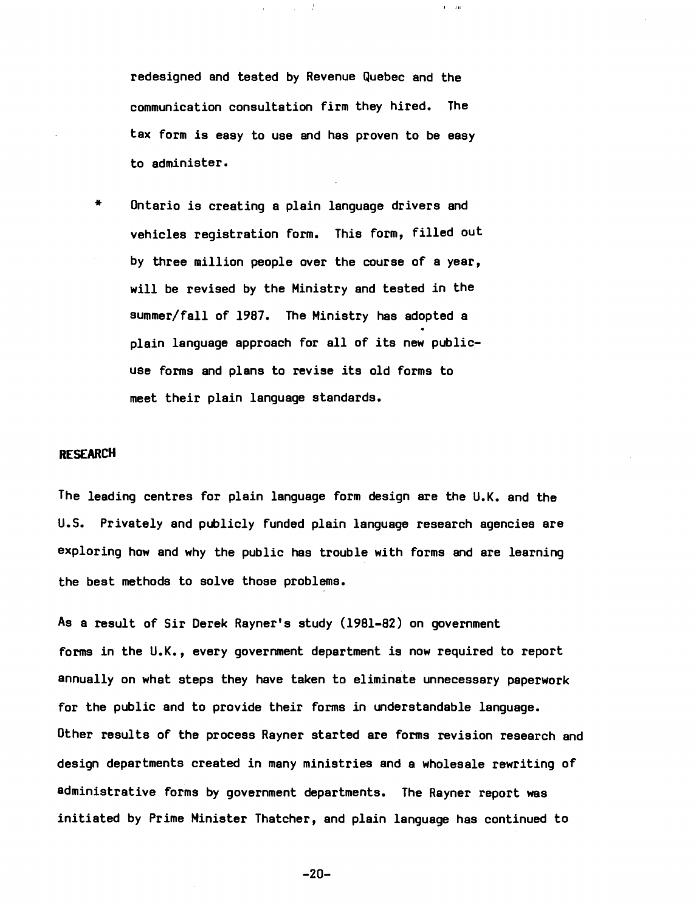redesigned and tested by Revenue Quebec and the communication consultation firm they hired. The tax form is easy to use and has proven to be easy to administer.

 $\mathcal{J}^{\pm}$ 

 $\bar{t}=10$ 

\* Ontario is creating a plain language drivers and vehicles registration form. This form, filled out by three million people over the course of a year, will be revised by the Ministry and tested in the summer/fall of *1987.* The Ministry has adopted a plain language approach for *all* of its new public use forms and plans to revise its old forms to meet their plain language standards.

# **RESEARCH**

The leading centres for plain language form design are the  $U,K$ , and the U.S. Privately and publicly funded plain language research agencies are exploring how and why the public has trouble with forms and are learning the best methods to solve those problems.

As a result of Sir Derek Rayner's study *(1981-82)* on government forms in the U.K., every government department is now required to report annually on what steps they have taken to eliminate unnecessary paperwork for the public and to provide their forms in understandable language. Other results of the process Rayner started are forms revision research and design departments created in many ministries and a wholesale rewriting of administrative forms by government departments. The Rayner report was initiated by Prime Minister Thatcher, and plain language has continued to

 $-20-$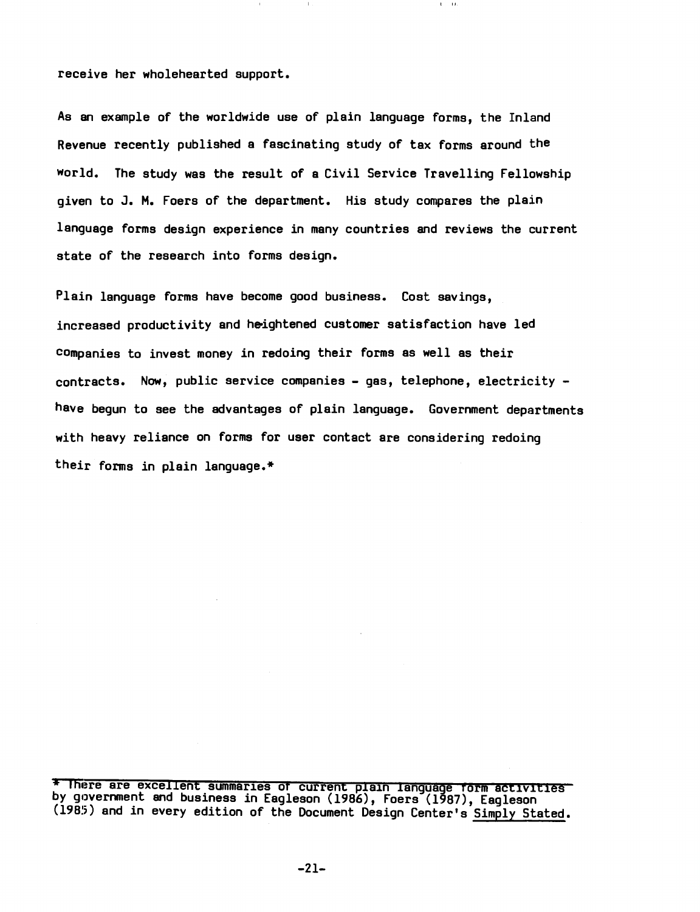receive her wholehearted support.

As an example of the worldwide use of plain language forms, the Inland Revenue recently published a fascinating study of tax forms around the world. The study was the result of a Civil Service Travelling Fellowship given to J. M. Foers of the department. His study compares the plain language forms design experience *in* many countries and reviews the current state of the research into forms design.

Plain language forms have become good business. Cost savings, increased productivity and heightened customer satisfaction have led companies to invest money *in* redoing their forms as well as their contracts. Now, public service companies - gas, telephone, electricity have begun to see the advantages of plain language. Government departments with heavy reliance on forms for user contact are considering redoing their forms in plain language.\*

\* There are excellent summaries of current plain language form activities by government and business in Eagleson (1986), Foers (1987), Eagleson (1985) and in every edition of the Document Design Center's Simply Stated.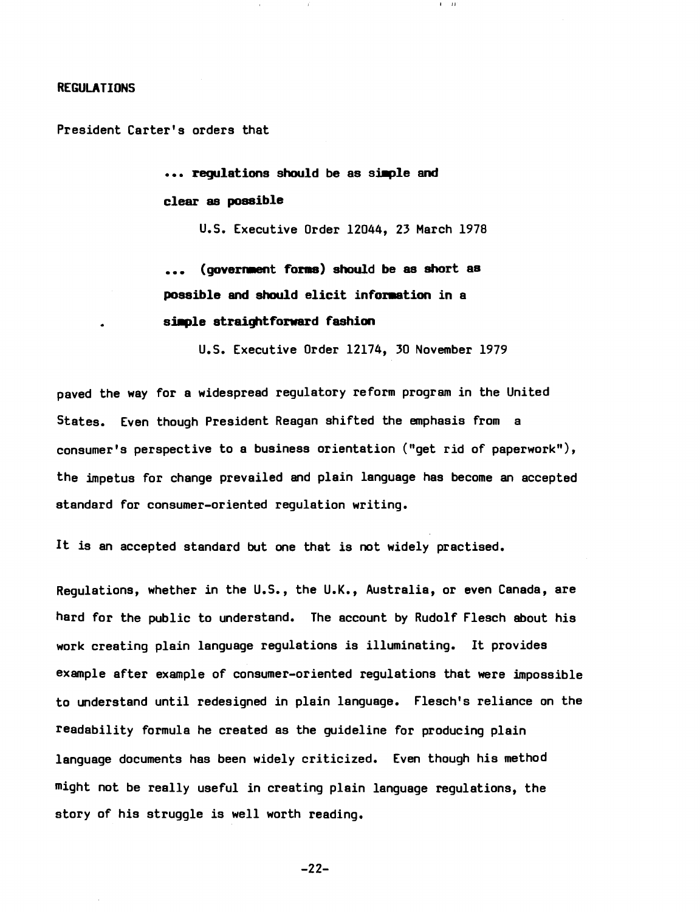#### REGULATIONS

President Carter's orders that

••• requlations should be as simple and clear as possible

U.S. Executive Order 12044, 23 March 1978

 $\Gamma = 3.1^{\circ}$ 

(government forms) should be as short as possible and should elicit information in a simple straightforward fashion

U.S. Executive Order 12174, 30 November 1979

paved the way for a widespread regulatory reform program in the United States. Even though President Reagan shifted the emphasis from a consumer's perspective to a business orientation ("get rid of paperwork"), the impetus for change prevailed and plain language has become an accepted standard for consumer-oriented regulation writing.

It is an accepted standard but one that is not widely practised.

Regulations, whether in the U.S., the U.K., Australia, or even Canada, are hard for the public to understand. The account by Rudolf Flesch about his work creating plain language regulations is illuminating. It provides example after example of consumer-oriented regulations that were impossible to understand until redesigned in plain language. Flesch's reliance on the readability formula he created as the guideline for producing plain language documents has been widely criticized. Even though his method might not be really useful in creating plain language regulations, the story of his struggle is well worth reading.

 $-22-$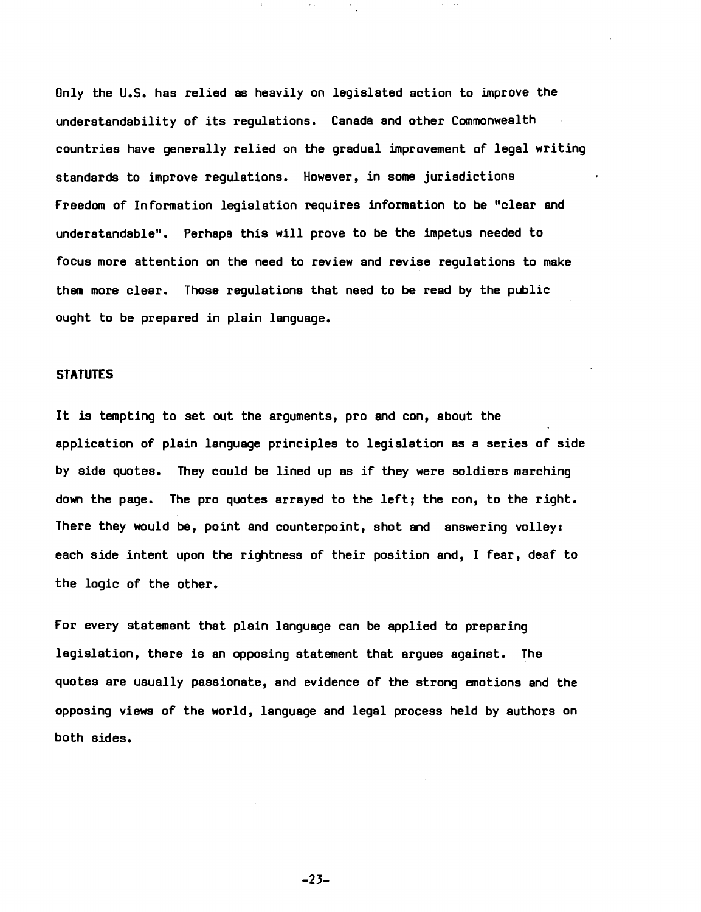Only the U.S. has relied as heavily on legislated action to improve the understandability of its regulations. Canada and other Commonwealth countries have generally relied on the gradual improvement of legal writing standards to improve regulations. However, in some jurisdictions freedom of Information legislation requires information to be "clear and understandable". Perhaps this will prove to be the impetus needed to focus more attention on the need to review and revise regulations to make them more clear. Those regulations that need to be read by the public ought to be prepared in plain language.

# **STATUTES**

It is tempting to set out the arguments, pro and con, about the application of plain language principles to legislation as a series of *side*  by *side* quotes. They could be lined up as if they were soldiers marching down the page. The pro quotes arrayed to the left; the con, to the right. There they *would* be, point and counterpoint, shot and answering volley: each side intent upon the rightness of their position and, I fear, deaf to the logic of the other.

for every statement that plain language can be applied to preparing legislation, there is an opposing statement that argues against. The quotes are usually passionate, and evidence of the strong emotions and the opposing views of the world, language and legal process held by authors on both sides.

 $-23-$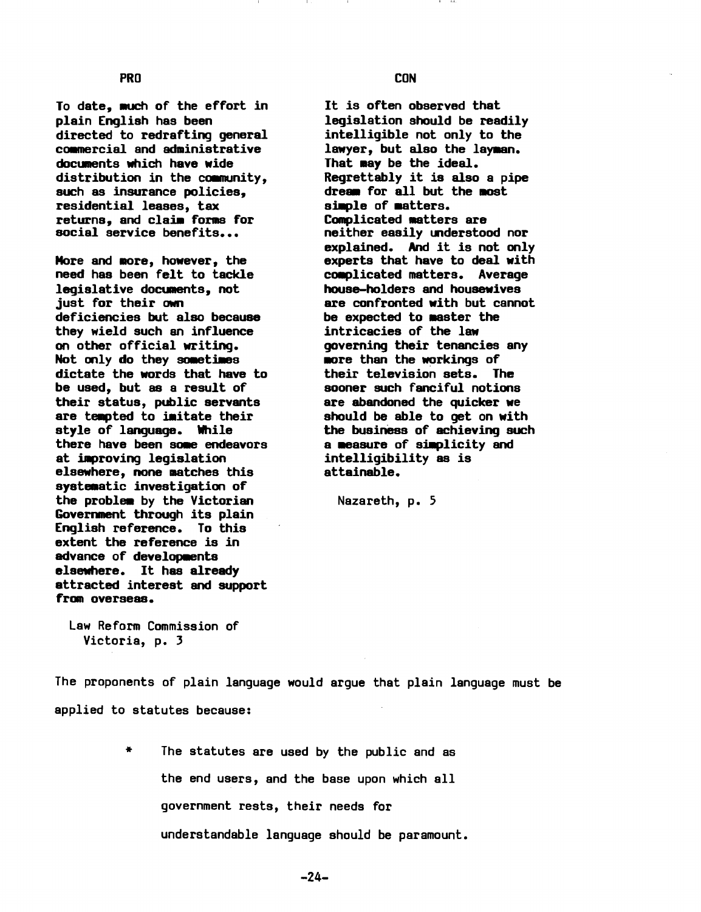To date, much of the effort in plain English has been directed to redrafting general commercial and administrative documents which have wide distribution in the community, such as insurance policies, residential leases, tax returns, and claim forms for social service benefits...

More and more, however, the need has been felt to tackle legislative documents, not just for their own deficiencies but also because they wield such an influence on other official writing. Not only do they sometimes dictate the words that have to be used, but as a result of their status, public servants are temoted to imitate their style of language. While there have been some endeavors at improving legislation elsewhere, none aatches this systeaatic investigation of the problem by the Victorian Governaent through its plain English reference. To this extent the reference is in advance of developments elsewhere. It has already attracted interest and support from overseas.

Law Reform Commission of Victoria, p. 3

The proponents of plain language would argue that plain language must be applied to statutes because:

> \* The statutes are used by the public and as the end users, and the base upon which all government rests, their needs for understandable language should be paramount.

It is often observed that legislation should be readily intelligible not only to the lawyer, but also the layman. That may be the ideal. Regrettably it is also a pipe dream for all but the most simple of matters. Complicated matters are neither easily understood nor explained. And it is not only experts that have to deal with complicated matters. Average house-holders and housewives are confronted with but cannot be expected to master the intricacies of the law governing their tenancies any more than the workings of their television sets. The sooner such fanciful notions are abandoned the quicker we should be able to get on with the business of achieving such a measure of simplicity and intelligibility as is attainable.

Nazareth, p. 5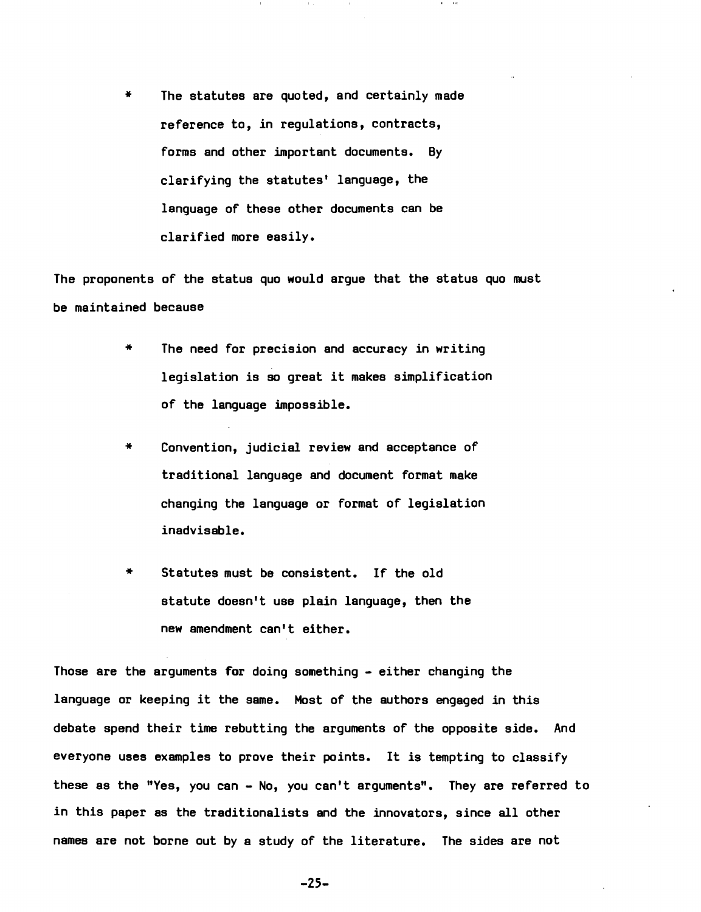\* The statutes are quoted, and certainly made reference to, in regulations, contracts, forms and other important documents. By clarifying the statutes' language, the language of these other documents can be clarified more easily.

The proponents of the status quo would argue that the status quo must be maintained because

- The need for precision and accuracy in writing legislation is so great it makes simplification of the language impossible.
- \* Convention, judicial review and acceptance of traditional language and document format make changing the language or format of legislation inadvisable.
- Statutes must be consistent. If the old statute doesn't use plain language, then the new amendment can't either.

Those are the arguments for doing something - either changing the language or keeping it the same. Most of the authors engaged in this debate spend their time rebutting the arguments of the opposite side. And everyone uses examples to prove their points. It is tempting to classify these as the "Yes, you can - No, you can't arguments". They are referred to in this paper as the traditionalists and the innovators, since all other names are not borne out by a study of the literature. The sides are not

 $-25-$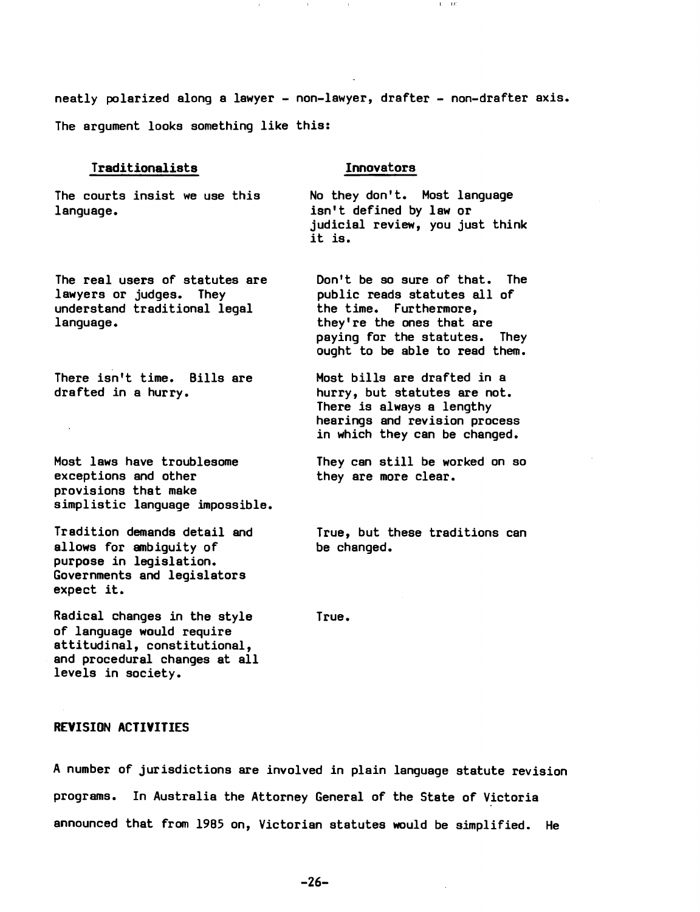neatly polarized along a lawyer - non-lawyer, drafter - non-drafter axis.

The argument looks something like this:

## Traditionalists

The courts insist we use this language.

The real users of statutes are lawyers or judges. They understand traditional legal language.

There isn't time. Bills are drafted in a hurry.

 $\sim$ 

Most laws have troublesome exceptions and other provisions that make simplistic language impossible.

Tradition demands detail and allows for ambiguity of purpose in legislation. Governments and legislators expect it.

Radical Changes in the style of language would require attitudinal, constitutional, and procedural changes at all levels in society.

True.

# REVISION ACTIVITIES

A number of jurisdictions are involved in plain language statute revision programs. In Australia the Attorney General of the State of Victoria announced that from 1985 on, Victorian statutes would be simplified. He

# Innovators

No they don't. Most language isn't defined by law or judicial review, you just think it is.

 $1 - 13$ 

Don't be so sure of that. The public reads statutes all of the time. Furthermore, they're the ones that are paying for the statutes. They ought to be able to read them.

Most bills are drafted in a hurry, but statutes are not. There is always a lengthy hearings and revision process in which they can be changed.

They can still be worked on so they are more clear.

True, but these traditions can be changed.

 $-26-$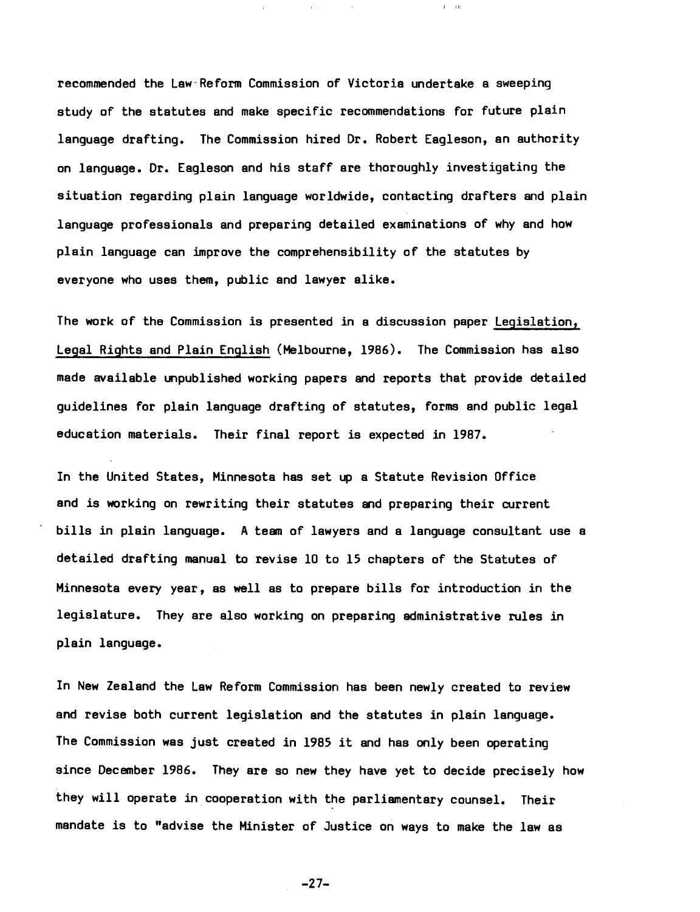recommended the Law'Reform Commission of Victoria undertake a sweeping study of the statutes and make specific recommendations for future plain language drafting. The Commission hired Dr. Robert Eagleson, an authority on language. Dr. Eagleson and his staff are thoroughly investigating the situation regarding plain language worldwide, contacting drafters and plain language professionals and preparing detailed examinations of why and how plain language can improve the comprehensibility of the statutes by everyone who uses them, public and lawyer alike.

 $\vec{V}$  .

 $\bar{\Gamma} = 140$ 

The work of the Commission is presented in a discussion paper Legislation, Legal Rights and Plain English (Melbourne, 1986). The Commission has also made available unpublished working papers and reports that provide detailed guidelines for plain language drafting of statutes, forms and public legal education materials. Their final report is expected in 1987.

In the United States, Minnesota has set up a Statute Revision Office and is working on rewriting their statutes and preparing their current bills in plain language. A team of lawyers and a language consultant use a detailed drafting manual to revise 10 to 15 chapters of the Statutes of Minnesota every year, as well as to prepare bills for introduction in the legislature. They are also working on preparing administrative rules in plain language.

In New Zealand the Law Reform Commission has been newly created to review and revise both current legislation and the statutes in plain language. The Commission was just created in 1985 it and has only been operating since December 1986. They are so new they have yet to decide precisely how they will operate in cooperation with the parliamentary counsel. Their mandate is to "advise the Minister of Justice on ways to make the law as

 $-27-$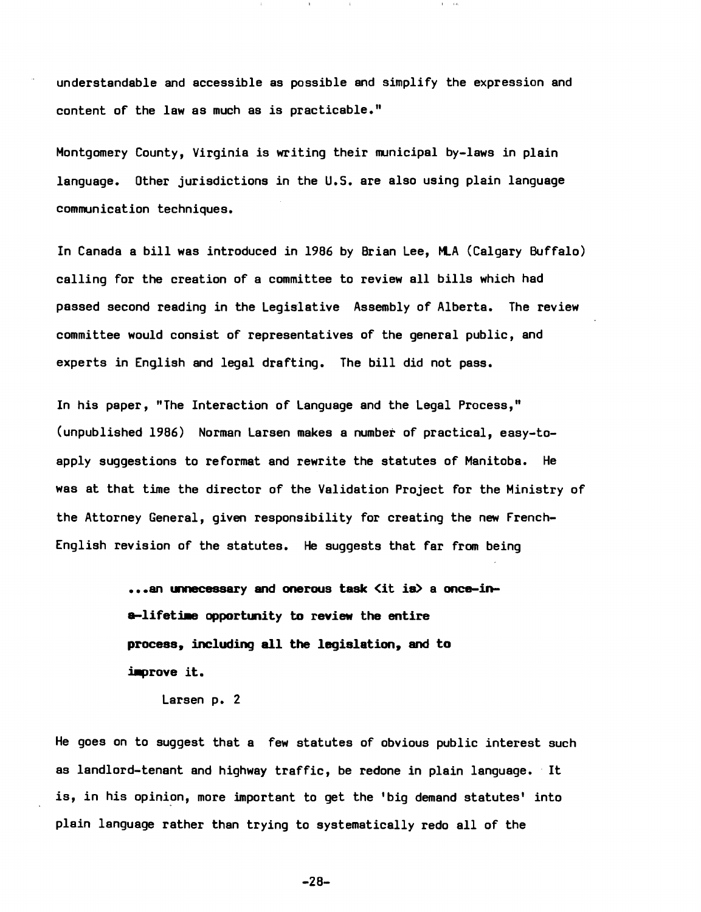understandable and accessible as possible and simplify the expression and content of the law as much as is practicable."

Montgomery County, Virginia is writing their municipal by-laws in plain language. Other jurisdictions in the U.S. are also using plain language communication techniques.

In Canada a bill was introduced in 1986 by Brian Lee, MLA (Calgary Buffalo) calling for the creation of a committee to review all bills which had passed second reading in the Legislative Assembly of Alberta. The review committee would consist of representatives of the general public, and experts in English and legal drafting. The bill did not pass.

In his paper, "The Interaction of Language and the Legal Process," (unpublished 1986) Norman Larsen makes a number of practical, easy-toapply suggestions to reformat and rewrite the statutes of Manitoba. He was at that time the director of the Validation Project for the Ministry of the Attorney General, given responsibility for creating the new French-English revision of the statutes. He suggests that far from being

> ...an unnecessary and onerous task <it is> a once-ina-lifetime opportunity to review the entire process, including all the legislation, and to improve it.

Larsen p. 2

He goes on to suggest that a few statutes of obvious public interest such as landlord-tenant and highway traffic, be redone in plain language. It is, in his opinion, more important to get the 'big demand statutes' into plain language rather than trying to systematically redo all of the

 $-28-$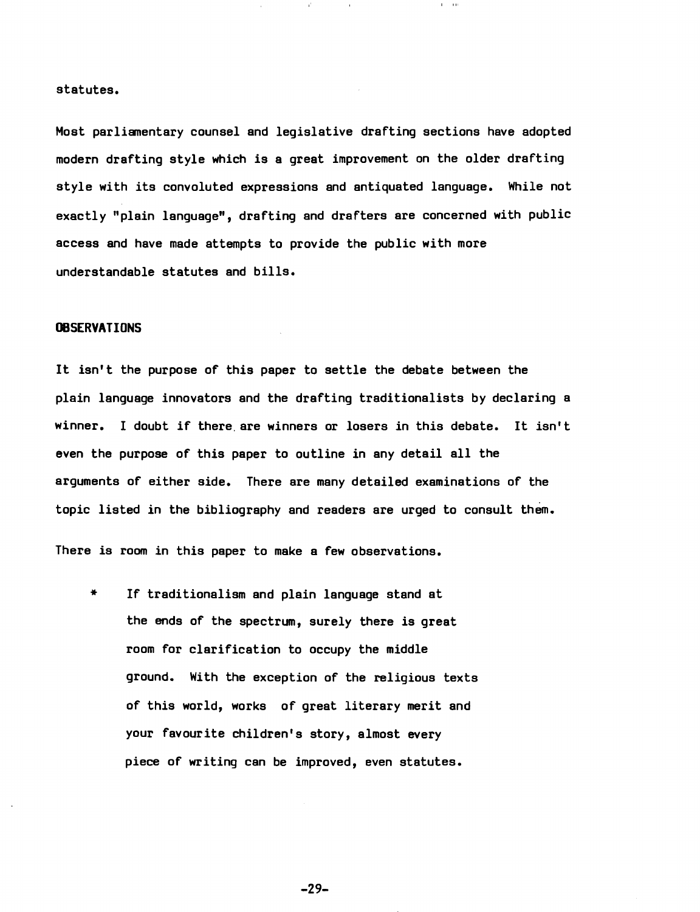#### statutes.

Most parliamentary counsel and legislative drafting sections have adopted modern drafting style which is a great improvement on the older drafting style with its convoluted expressions and antiquated language. While not exactly "plain language", drafting and drafters are concerned with public access and have made attempts to provide the public with more understandable statutes and bills.

# **OBSERVATIONS**

It isn't the purpose of this paper to settle the debate between the plain language innovators and the drafting traditionalists by declaring a winner. I doubt if there are winners or losers in this debate. It isn't even the purpose of this paper to outline in any detail all the arguments of either side. There are many detailed examinations of the topic listed in the bibliography and readers are urged to consult them.

There is room in this paper to make a few observations.

\* If traditionalism and plain language stand at the ends of the spectrum, surely there is great room for clarification to occupy the middle ground. With the exception of the religious texts of this world, works of great literary merit and your favourite children's story, almost every piece of writing can be improved, even statutes.

 $-29-$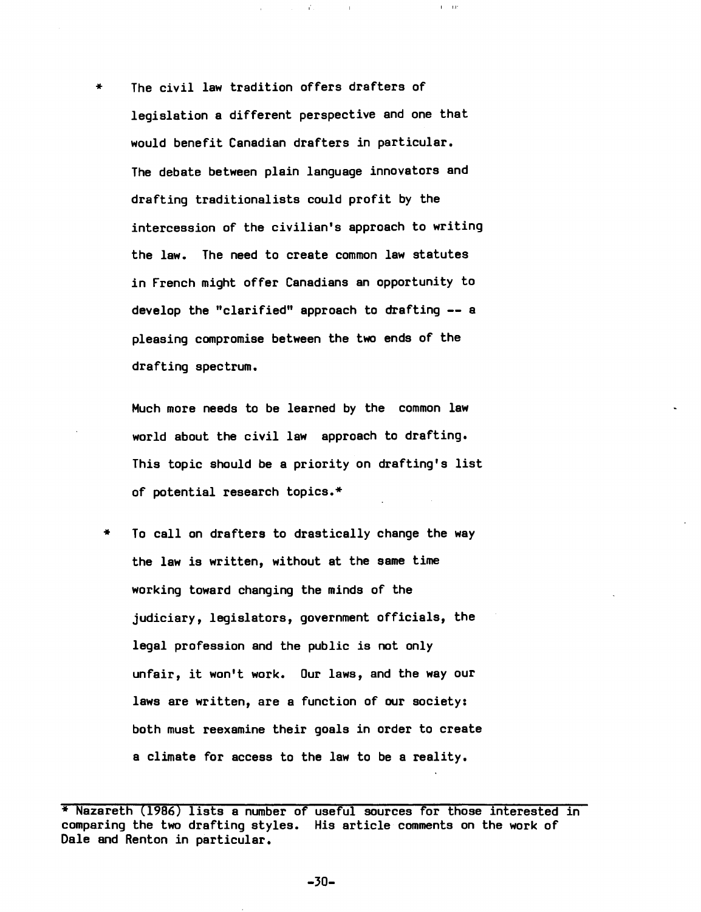The civil law tradition offers drafters of legislation a different perspective and one that would benefit Canadian drafters in particular. The debate between plain language innovators and drafting traditionalists could profit by the intercession of the civilian's approach to writing the law. The need to create common law statutes in French might offer Canadians an opportunity to develop the "clarified" approach to drafting -- a pleasing compromise between the two ends of the drafting spectrum.

I 1.1'

Much more needs to be learned by the common law world about the civil law approach to drafting. This topic should be a priority on drafting's list of potential research topics.\*

\* To calIon drafters to drastically change the way the law is written, without at the same time working toward changing the minds of the judiciary, legislators, government officials, the legal profession and the public is not only unfair, it won't work. Our laws, and the way our laws are written, are a function of our society: both must reexamine their goals in order to create a climate for access to the law to be a reality.

 $-30-$ 

<sup>\*</sup> Nazareth (1986) lists a number of useful sources for those interested in comparing the two drafting styles. His article comments on the work of Dale and Renton in particular.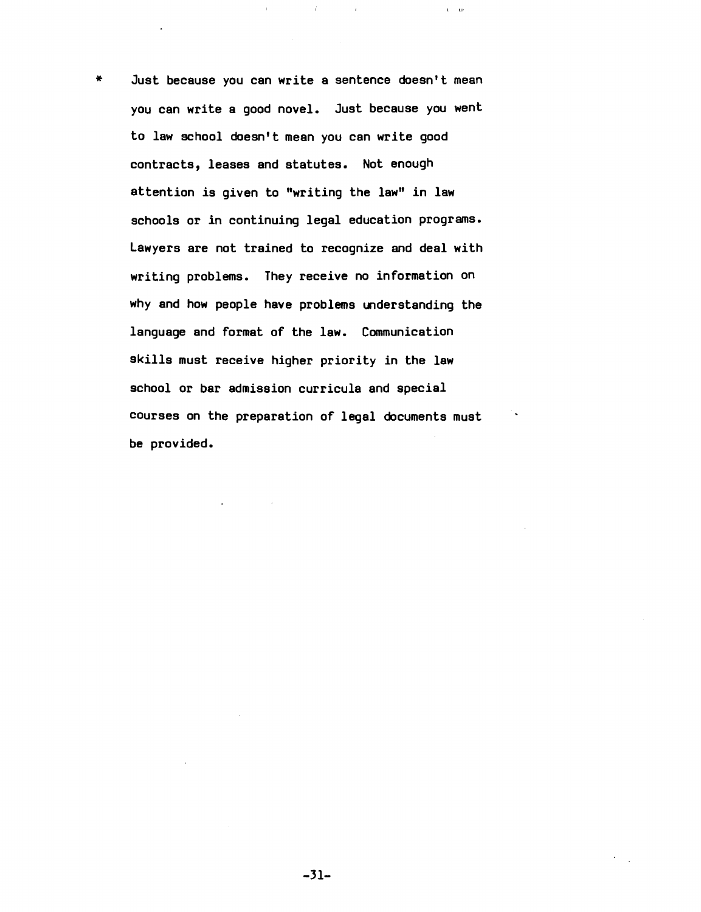Just because you can write a sentence doesn't mean you can write a good novel. Just because you went to law school doesn't mean you can write good contracts, leases and statutes. Not enough attention is given to "writing the law" in law schools or in continuing legal education programs. Lawyers are not trained to recognize and deal with writing problems. They receive no information on why and how people have problems understanding the language and format of the law. Communication skills must receive higher priority in the law school or bar admission curricula and special courses on the preparation of legal documents must be provided.

 $\mathcal{X}$ 

 $\tilde{\Gamma}=\tilde{\Omega}^2$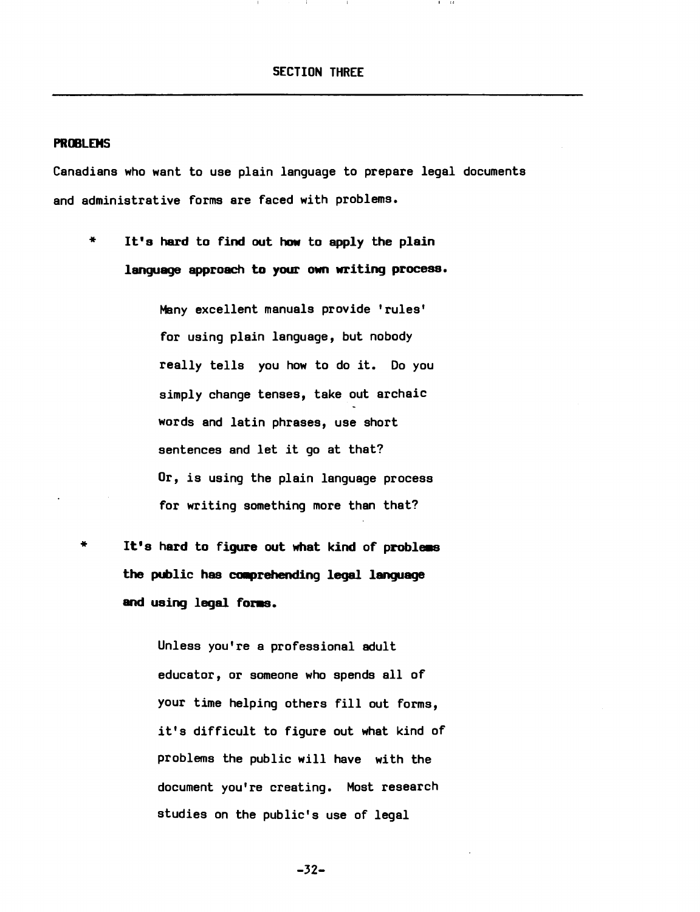#### **PROBLEMS**

Canadians who want to use plain language to prepare legal documents and administrative forms are faced with problems.

It's hard to find out how to apply the plain language approach to your own writing process.

> Many excellent manuals provide 'rules' for using plain language, but nobody really tells you how to do it. Do you simply change tenses, take out archaic words and latin phrases, use short sentences and let it go at that? Or, is using the plain language process for writing something more than that?

It's hard to figure out what kind of probless the public has comprehending legal language and using legal foms.

> Unless you're a professional adult educator, or someone who spends all of your time helping others fill out forms, it's difficult to figure out what kind of problems the public will have with the document you're creating. Most research studies on the public's use of legal

> > $-32-$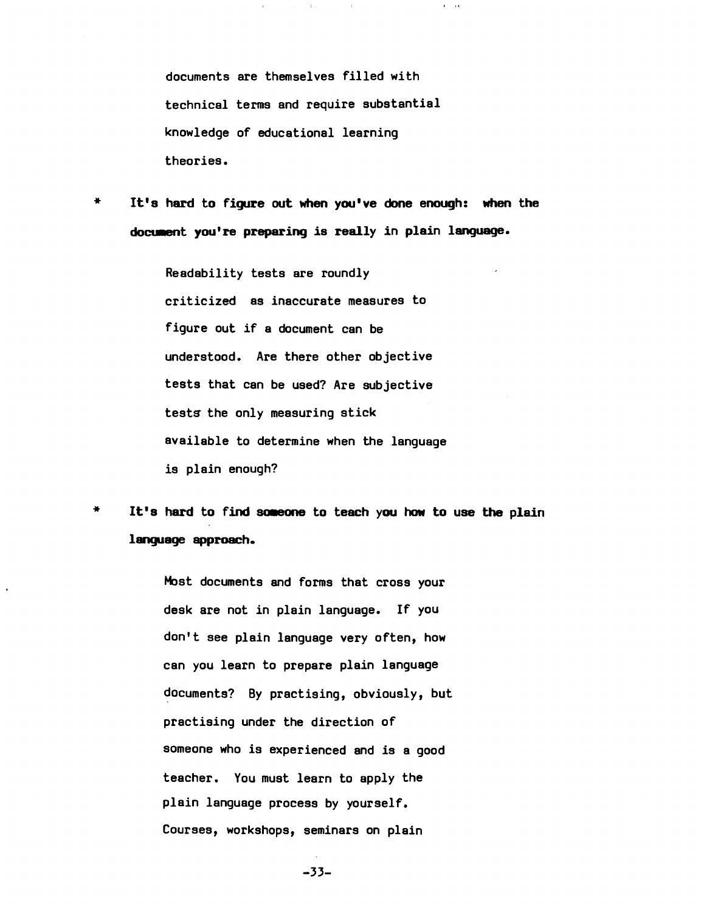documents are themselves filled with technical terms and require substantial knowledge of educational learning theories.

 $\mathbf{1}$  .

 $\sim 10$ 

 $\mathbf{r}=\mathbf{r}\mathbf{r}$ 

\* It's hard to figure out when you've done enough: when the document you're preparing is really in plain language.

> Readability tests are roundly criticized as inaccurate measures to figure out if a document can be understood. Are there other objective tests that can be used? Are subjective tests the only measuring stick available to determine when the language is plain enough?

\* It's hard to find someone to teach you how to use the plain language approach.

> Most documents and forms that cross your desk are not in plain language. If you don't see plain language very often, how can you learn to prepare plain language documents? By practising, obviously, but practising under the direction of someone who is experienced and is a good teacher. You must learn to apply the plain language process by yourself. Courses, workshops, seminars on plain

> > -33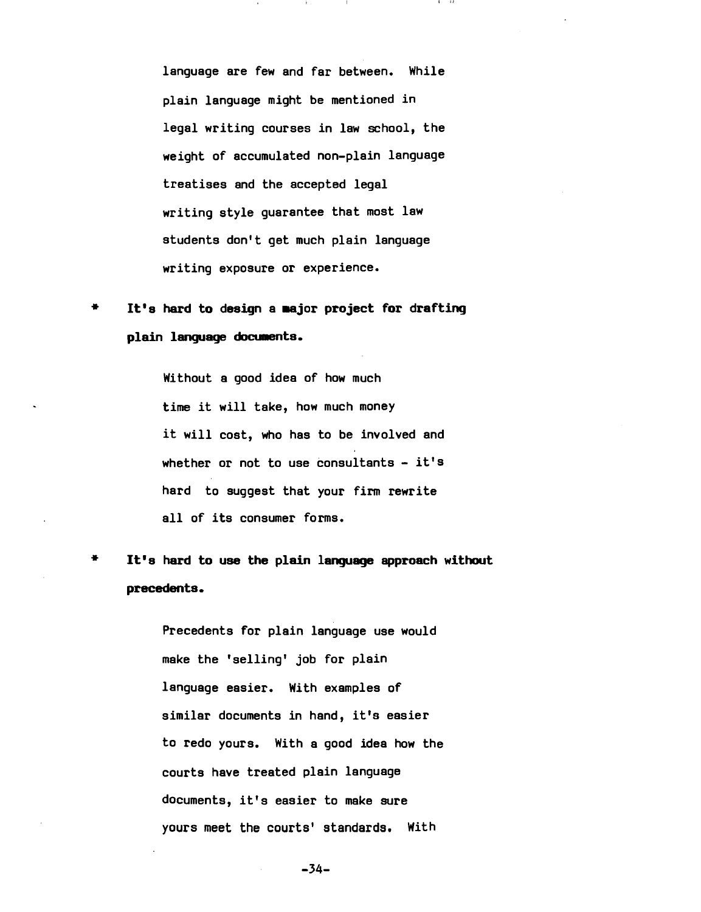language are few and far between. While plain language might be mentioned in legal writing courses in law school, the weight of accumulated non-plain language treatises and the accepted legal writing style guarantee that most law students don't get much plain language writing exposure or experience.

# \* It's hard to design a major project for drafting plain language documents.

Without a good idea of how much time it will take, how much money it will cost, who has to be involved and whether or not to use consultants - it's hard to suggest that your firm rewrite all of its consumer forms.

\* It's hard to use the plain language approach without precedents.

> Precedents for plain language use would make the 'selling' job for plain language easier. With examples of similar documents in hand, it's easier to redo yours. With a good idea how the courts have treated plain language documents, it's easier to make sure yours meet the courts' standards. With

> > $-34-$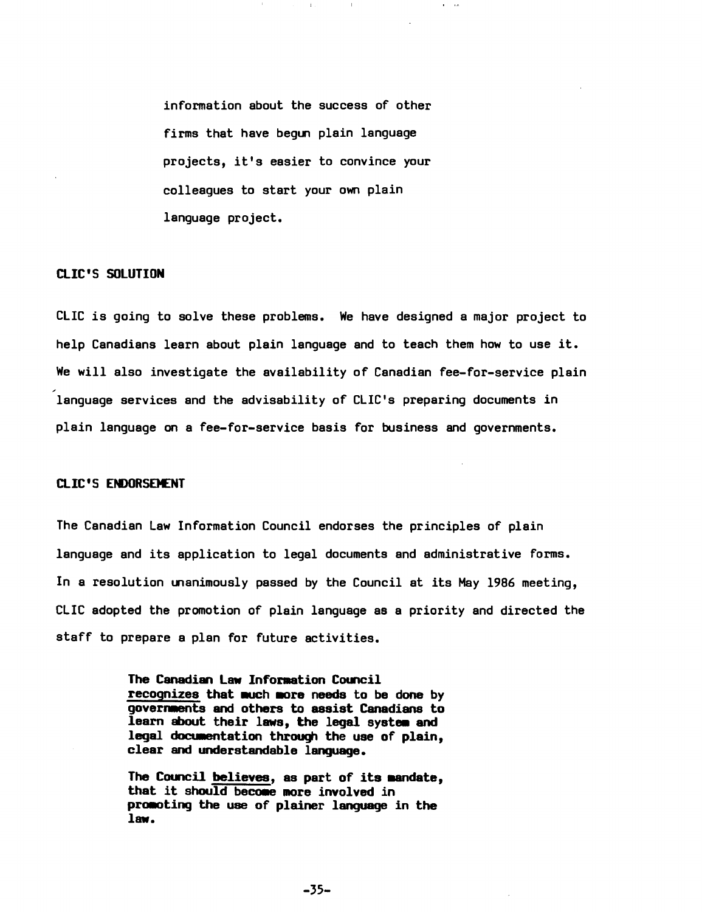information about the success of other firms that have begun plain language projects, it's easier to convince your colleagues to start your own plain language project.

# CLIC'S SOLUTION

CLIC is going to solve these problems. We have designed a major project to help Canadians learn about plain language and to teach them how to use it. We will also investigate the availability of Canadian fee-for-service plain language services and the advisability of CLIC's preparing documents in plain language on a fee-for-service basis for business and governments.

# CLIC'S ENDORSEMENT

The Canadian Law Information Council endorses the principles of plain language and its application to legal documents and administrative forms. In a resolution unanimously passed by the Council at its May 1986 meeting, CLIC adopted the promotion of plain language as a priority and directed the staff to prepare a plan for future activities.

> The Canadian Law Information Council recognizes that much more needs to be done by governaents and others to assist Canadians to learn about their laws, the legal system and legal documentation through the use of plain, clear and understandable language.

> The Council believes, as part of its mandate, that it should become more involved in promoting the use of plainer language in the law.

> > $-35-$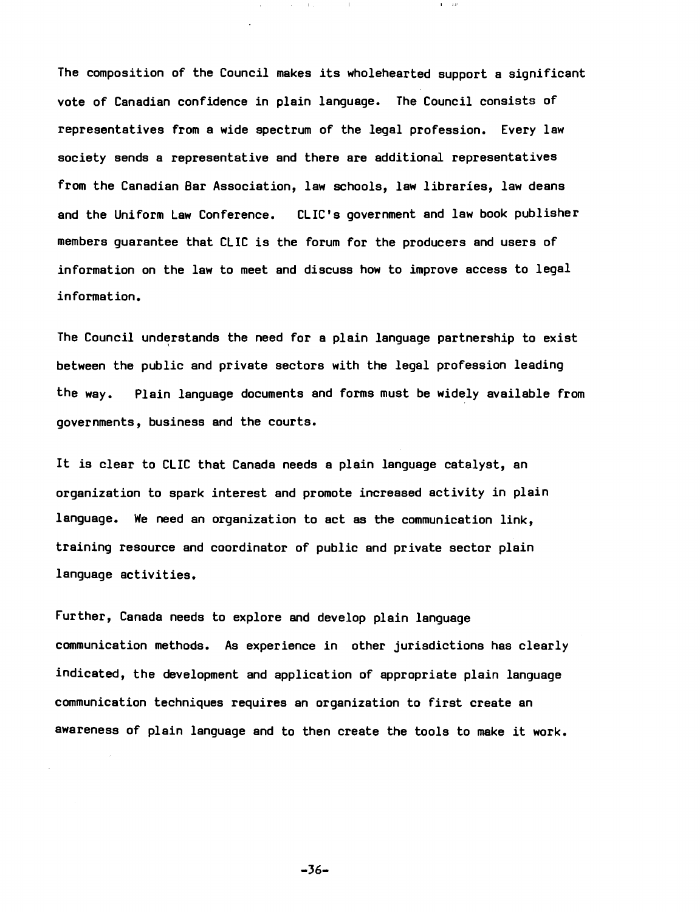The composition of the Council makes its wholehearted support a significant vote of Canadian confidence in plain language. The Council consists of representatives from a wide spectrum of the legal profession. Every law society sends a representative and there are additional representatives from the Canadian Bar Association, law schools, law libraries, law deans and the Uniform Law Conference. CLIC's government and law book publisher members guarantee that CLIC is the forum for the producers and users of information on the law to meet and discuss how to improve access to legal information.

 $\sim 10^{-1}$  $\sim 10\, \mu m$   $\sim 1$  .

 $\Gamma = 4.1$ 

The Council understands the need for a plain language partnership to exist between the public and private sectors with the legal profession leading the way. Plain language documents and forms must be widely available from governments, business and the courts.

It *is* clear to CLIC that Canada needs a plain language catalyst, an organization to spark interest and promote increased activity *in* plain language. We need an organization to act as the communication link, training resource and coordinator of public and private sector plain language activities.

Further, Canada needs to explore and develop plain language communication methods. As experience in other jurisdictions has clearly indicated, the development and application of appropriate plain language communication techniques requires an organization to first create an awareness of plain language and to then create the tools to make it work.

 $-36-$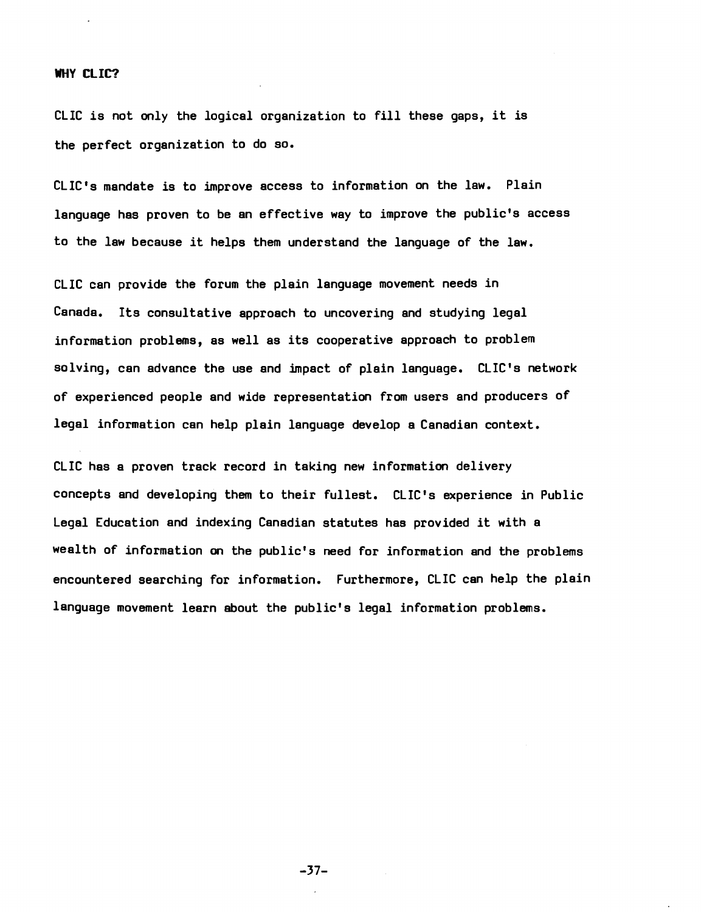#### WHY CLIC?

CLIC is not only the logical organization to fill these gaps, it is the perfect organization to do so.

CLIC's mandate is to improve access to information on the law. Plain language has proven to be an effective way to improve the public's access to the law because it helps them understand the language of the law.

CLIC can provide the forum the plain language movement needs in Canada. Its consultative approach to uncovering and studying legal information problems, as well as its cooperative approach to problem solving, can advance the use and impact of plain language. CLIC's network of experienced people and wide representation from users and producers of legal information can help plain language develop a Canadian context.

CLIC has a proven track record in taking new information delivery concepts and developing them to their fullest. CLIC's experience in Public Legal Education and indexing Canadian statutes has provided it with a wealth of information on the public's need for information and the problems encountered searching for information. Furthermore, CLIC can help the plain language movement learn about the public's legal information problems.

 $-37-$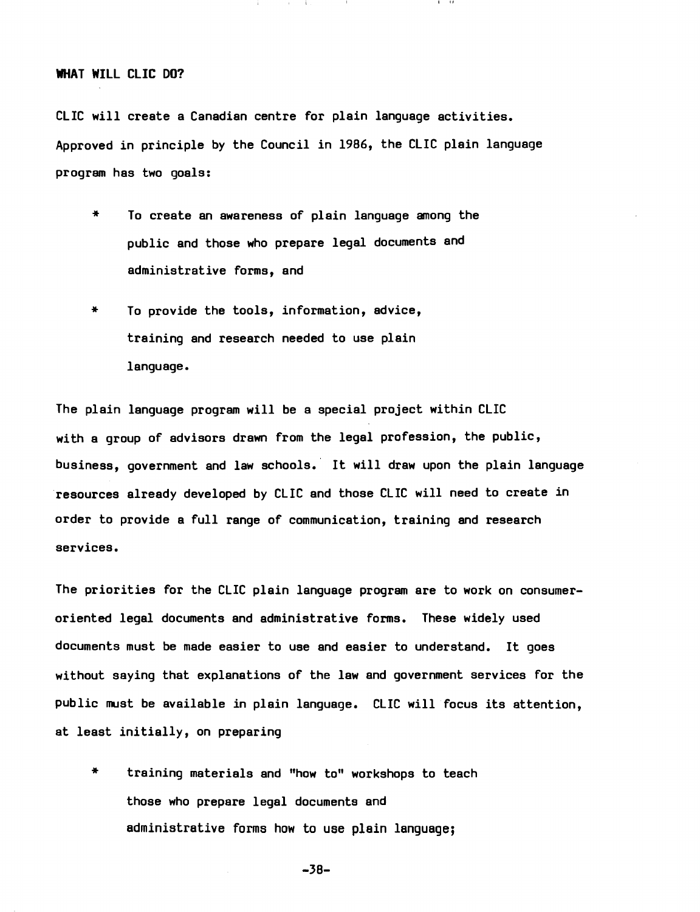# WHAT WILL CLIC DO?

CLIC will create a Canadian centre for plain language activities. Approved in principle by the Council in 1986, the CLIC plain language program has two goals:

- \* To create an awareness of plain language among the public and those who prepare legal documents and administrative forms, and
- \* To provide the tools, information, advice, training and research needed to use plain language.

The plain language program will be a special project within CLIC with a group of advisors drawn from the legal profession, the public, business, government and law schools. It will draw upon the plain language resources already developed by CLIC and those CLIC will need to create in order to provide a full range of communication, training and research services.

The priorities for the CLIC plain language program are to work on consumeroriented legal documents and administrative forms. These widely used documents must be made easier to use and easier to understand. It goes without saying that explanations of the law and government services for the public must be available in plain language. CLIC will focus its attention, at least initially, on preparing

\* training materials and "how to" workshops to teach those who prepare legal documents and administrative forms how to use plain language;

 $-38-$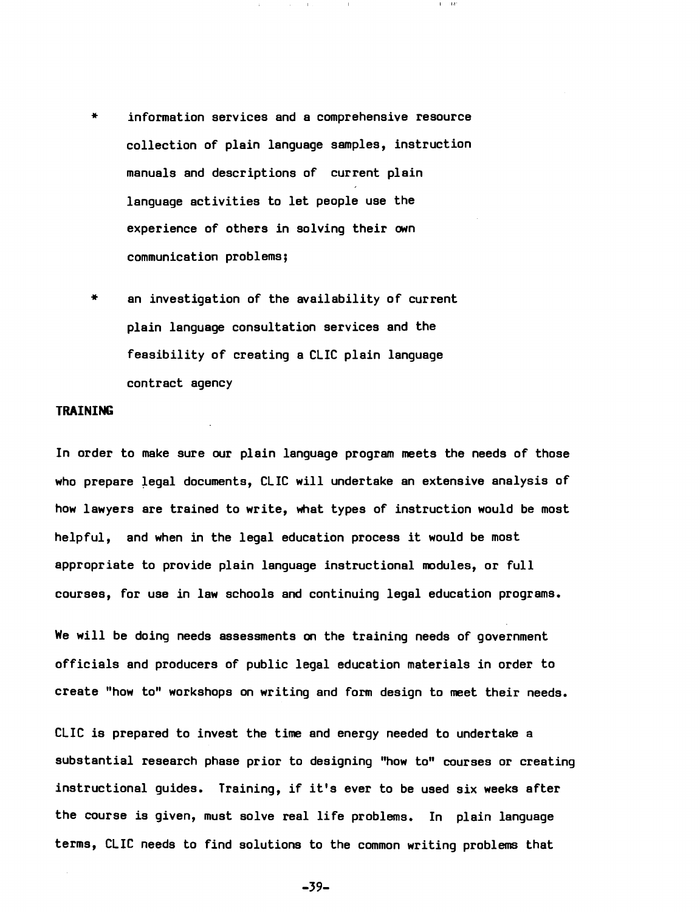- information services and a comprehensive resource collection of plain language samples, instruction manuals and descriptions of current plain language activities to let people use the experience of others in solving their own communication problems;
- an investigation of the availability of current plain language consultation services and the feasibility of creating a CLIC plain language contract agency

#### **TRAINING**

In order to make sure our plain language program meets the needs of those who prepare legal documents, CLIC will undertake an extensive analysis of how lawyers are trained to write, what types of instruction would be most helpful, and when in the legal education process it would be most appropriate to provide plain language instructional modules, or full courses, for use in law schools and continuing legal education programs.

We will be doing needs assessments on the training needs of government officials and producers of public legal education materials in order to create "how to" workshops on writing and form design to meet their needs.

CLIC is prepared to invest the time and energy needed to undertake a substantial research phase prior to designing "how to" courses or creating instructional guides. Training, if it's ever to be used six weeks after the course is given, must solve real life problems. In plain language terms, CLIC needs to find solutions to the common writing problems that

 $-39-$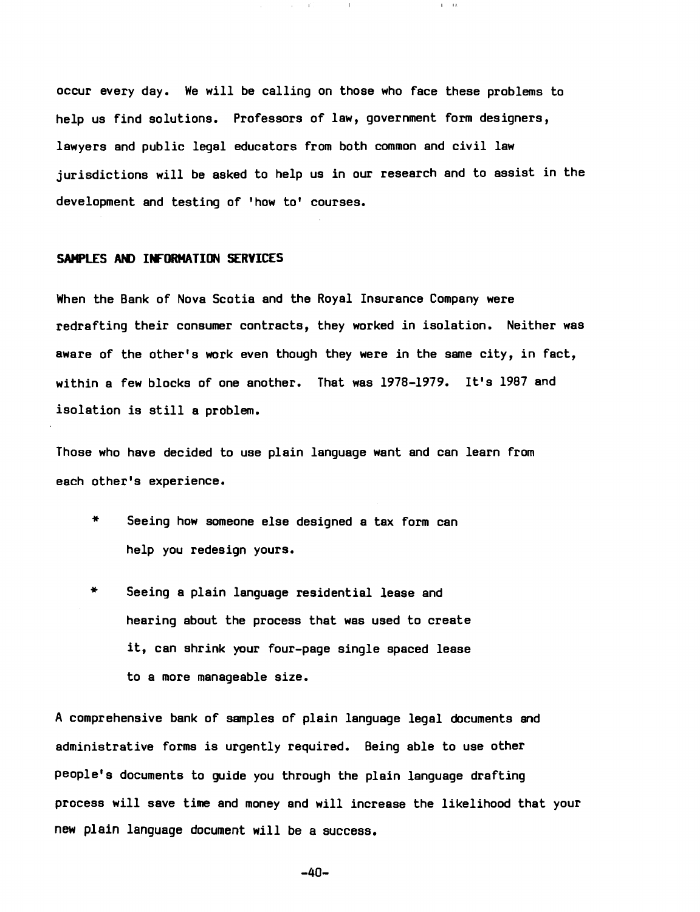occur every day. We will be calling on those who face these problems to help us find solutions. Professors of law, government form designers, lawyers and public legal educators from both common and civil law jurisdictions will be asked to help us in our research and to assist in the development and testing of 'how to' courses.

 $\sim 10$ 

 $1.1-1.0$ 

 $\alpha$ 

# SAMPLES AND INfORMATION SERVICES

When the Bank of Nova Scotia and the Royal Insurance Company were redrafting their consumer contracts, they worked in isolation. Neither was aware of the other's work even though they were in the same city, in fact, within a few blocks of one another. That was 1978-1979. It's 1987 and isolation is still a problem.

Those who have decided to use plain language want and can learn from each other's experience.

- \* Seeing how someone else designed a tax form can help you redesign yours.
- \* Seeing a plain language residential lease and hearing about the process that was used to create it, can shrink your four-page single spaced lease to a more manageable size.

A comprehensive bank of samples of plain language legal documents and administrative forms is urgently required. Being able to use other people's documents to guide you through the plain language drafting process will save time and money and will increase the likelihood that your new plain language document will be a success.

 $-40-$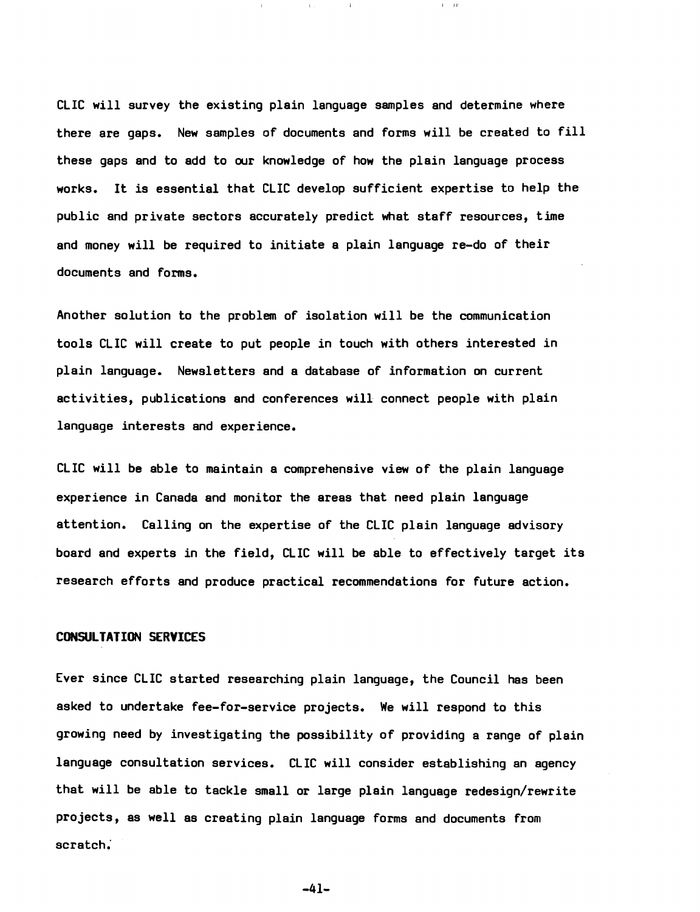CLIC will survey the existing plain language samples and determine where there are gaps. New samples of documents and forms will be created to fill these gaps and to add to our knowledge of how the plain language process works. It is essential that CLIC develop sufficient expertise to help the public and private sectors accurately predict what staff resources, time and money will be required to initiate a plain language re-do of their documents and forms.

I 1.1

Another solution to the problem of isolation will be the communication tools CLIC will create to put people in touch with others interested in plain language. Newsletters and a database of information on current activities, publications and conferences will connect people with plain language interests and experience.

CLIC will be able to maintain a comprehensive view of the plain language experience in Canada and monitor the areas that need plain language attention. Calling on the expertise of the CLIC plain language advisory board and experts in the field, CLIC will be able to effectively target its research efforts and produce practical recommendations for future action.

# CONSULTATION SERVICES

Ever since CLIC started researching plain language, the Council has been asked to undertake fee-for-service projects. We will respond to this growing need by investigating the possibility of providing a range of plain language consultation services. CLIC will consider establishing an agency that will be able to tackle small or large plain language redesign/rewrite projects, as well as creating plain language forms and documents from scratch:

 $-41-$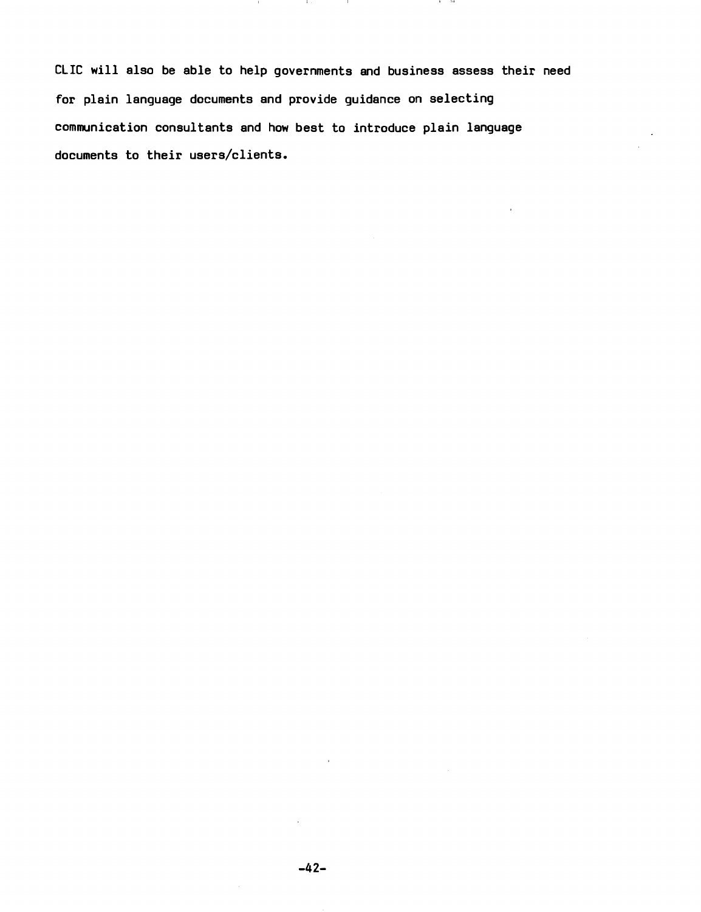CLIC will also be able to help governments and business assess their need for plain language documents and provide guidance on selecting communication consultants and how best to introduce plain language documents to their users/clients.

 $\mathbf{1}$ 

 $\mathbf{1}$ 

. . . .

**COLLECT**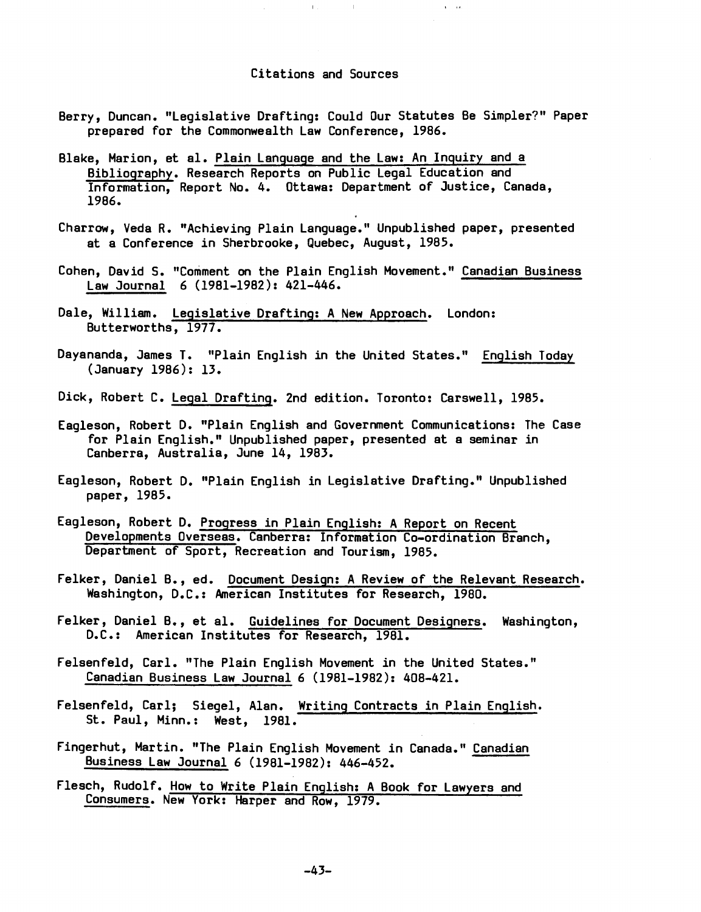#### Citations and Sources

 $\bar{\Gamma}$  .

 $\sim 10^{-1}$ 

 $\alpha = 1/2$ 

- Berry, Duncan. "Legislative Drafting: Could Our Statutes Be Simpler?" Paper prepared for the Commonwealth Law Conference, 1986.
- Blake, Marion, et al. Plain Language and the Law: An Inguiry and a Bibliography. Research Reports on Public Legal Education and Information, Report No.4. Ottawa: Department of Justice, Canada, 1986.
- Charrow, Veda R. "Achieving Plain Language." Unpublished paper, presented at a Conference in Sherbrooke, Quebec, August, 1985.
- Cohen, David S. "Comment on the Plain English Movement." Canadian Business Law Journal 6 (1981-1982): 421-446.
- Dale, William. Legislative Drafting: A New Approach. London: Butterworths, 1977.
- Dayananda, James T. "Plain English in the United States." English Today (January 1986): 13.
- Dick, Robert C. Legal Drafting. 2nd edition. Toronto: Carswell, 1985.
- Eagleson, Robert D. "Plain English and Government Communications: The Case for Plain English." Unpublished paper, presented at a seminar in Canberra, Australia, June 14, 1983.
- Eagleson, Robert D. "Plain English in Legislative Drafting." Unpublished paper, 1985.
- Eagleson, Robert D. Progress in Plain English: A Report on Recent Developments Overseas. Canberra: Information Co-ordination Branch, Department of Sport, Recreation and Tourism, 1985.
- Felker, Daniel B., ed. Document Design: A Review of the Relevant Research. Washington, D.C.: American Institutes for Research, 1980.
- Felker, Daniel B., et al. Guidelines for Document Designers. Washington, D.C.: American Institutes for Research, 1981.
- Felsenfeld, Carl. "The Plain English Movement in the United States." Canadian Business Law Journal 6 (1981-1982): 408-421.
- Felsenfeld, Carl; Siegel, Alan. Writing Contracts in Plain English. St. Paul, Minn.: West, 1981.
- Fingerhut, Martin. "The Plain English Movement in Canada." Canadian Business Law Journal 6 (1981-1982): 446-452.
- Flesch, Rudolf. How to Write Plain English: A Book for Lawyers and Consumers. New York: Harper and Row, 1979.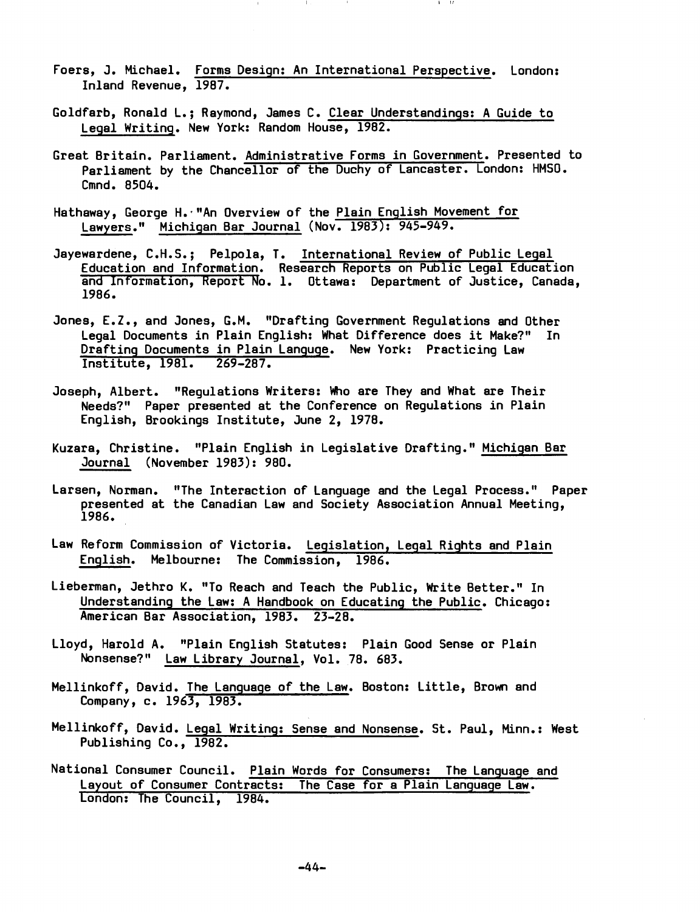- foers, J. Michael. forms Design: An International Perspective. London: Inland Revenue, 1987.
- Goldfarb, Ronald L.; Raymond, James C. Clear Understandings: A Guide to Legal Writing. New York: Random House, 1982.
- Great Britain. Parliament. Administrative forms in Government. Presented to Parliament by the Chancellor of the Duchy of Lancaster. London: HMSO. Cmnd. 8504.
- Hathaway, George H.·"An Overview of the Plain English Movement for Lawyers." Michigan Bar Journal (Nov. 1983): 945-949.
- Jayewardene, C.H.S.; Pelpola, T. International Review of Public Legal Education and Information. Research Reports on Public Legal Education and Information, Report No.1. Ottawa: Department of Justice, Canada, 1986.
- Jones, E.Z., and Jones, G.M. "Drafting Government Regulations and Other Legal Documents in Plain English: What Difference does it Make?" In Drafting Documents in Plain Languge. New York: Practicing Law Institute, 1981. 269-287.
- Joseph, Albert. "Requlations Writers: Who are They and What are Their Needs?" Paper presented at the Conference on Regulations in Plain English, Brookings Institute, June 2, 1978.
- Kuzara, Christine. "Plain English in Legislative Drafting." Michigan Bar Journal (November 1983): 980.
- Larsen, Norman. "The Interaction of Language and the Legal Process." Paper presented at the Canadian Law and Society Association Annual Meeting, 1986.
- Law Reform Commission of Victoria. Legislation, Legal Rights and Plain English. Melbourne: The Commission, 1986.
- Lieberman, Jethro K. "To Reach and Teach the Public, Write Better." In Understanding the Law: A Handbook on Educating the Public. Chicago: American Bar Association, 1983. 23-28.
- Lloyd, Harold A. "Plain English Statutes: Plain Good Sense or Plain Nonsense?" Law Library Journal, Vol. 78. 683.
- Mellinkoff, David. The Language of the Law. Boston: Little, Brown and Company, c. 1963, 1983.
- Mellinkoff, David. Legal Writing: Sense and Nonsense. St. Paul, Minn.: West Publishing Co., *1982.*
- National Consumer Council. Plain Words for Consumers: Layout of Consumer Contracts: The Case for a Plain Language Law. London: The Council, 1984.